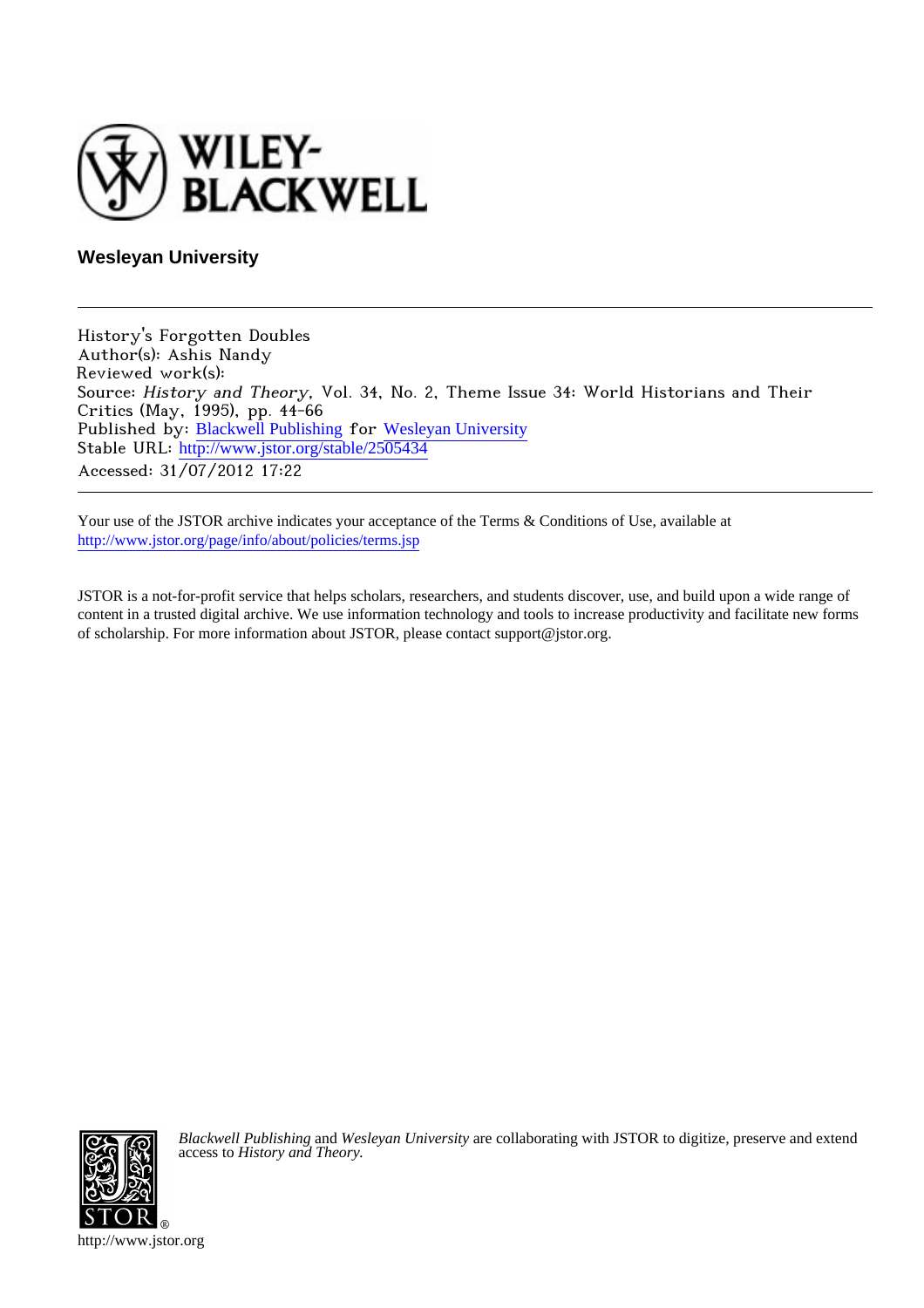

# **Wesleyan University**

History's Forgotten Doubles Author(s): Ashis Nandy Reviewed work(s): Source: History and Theory, Vol. 34, No. 2, Theme Issue 34: World Historians and Their Critics (May, 1995), pp. 44-66 Published by: [Blackwell Publishing](http://www.jstor.org/action/showPublisher?publisherCode=black) for [Wesleyan University](http://www.jstor.org/action/showPublisher?publisherCode=wesleyan) Stable URL: [http://www.jstor.org/stable/2505434](http://www.jstor.org/stable/2505434?origin=JSTOR-pdf) Accessed: 31/07/2012 17:22

Your use of the JSTOR archive indicates your acceptance of the Terms & Conditions of Use, available at <http://www.jstor.org/page/info/about/policies/terms.jsp>

JSTOR is a not-for-profit service that helps scholars, researchers, and students discover, use, and build upon a wide range of content in a trusted digital archive. We use information technology and tools to increase productivity and facilitate new forms of scholarship. For more information about JSTOR, please contact support@jstor.org.



*Blackwell Publishing* and *Wesleyan University* are collaborating with JSTOR to digitize, preserve and extend access to *History and Theory.*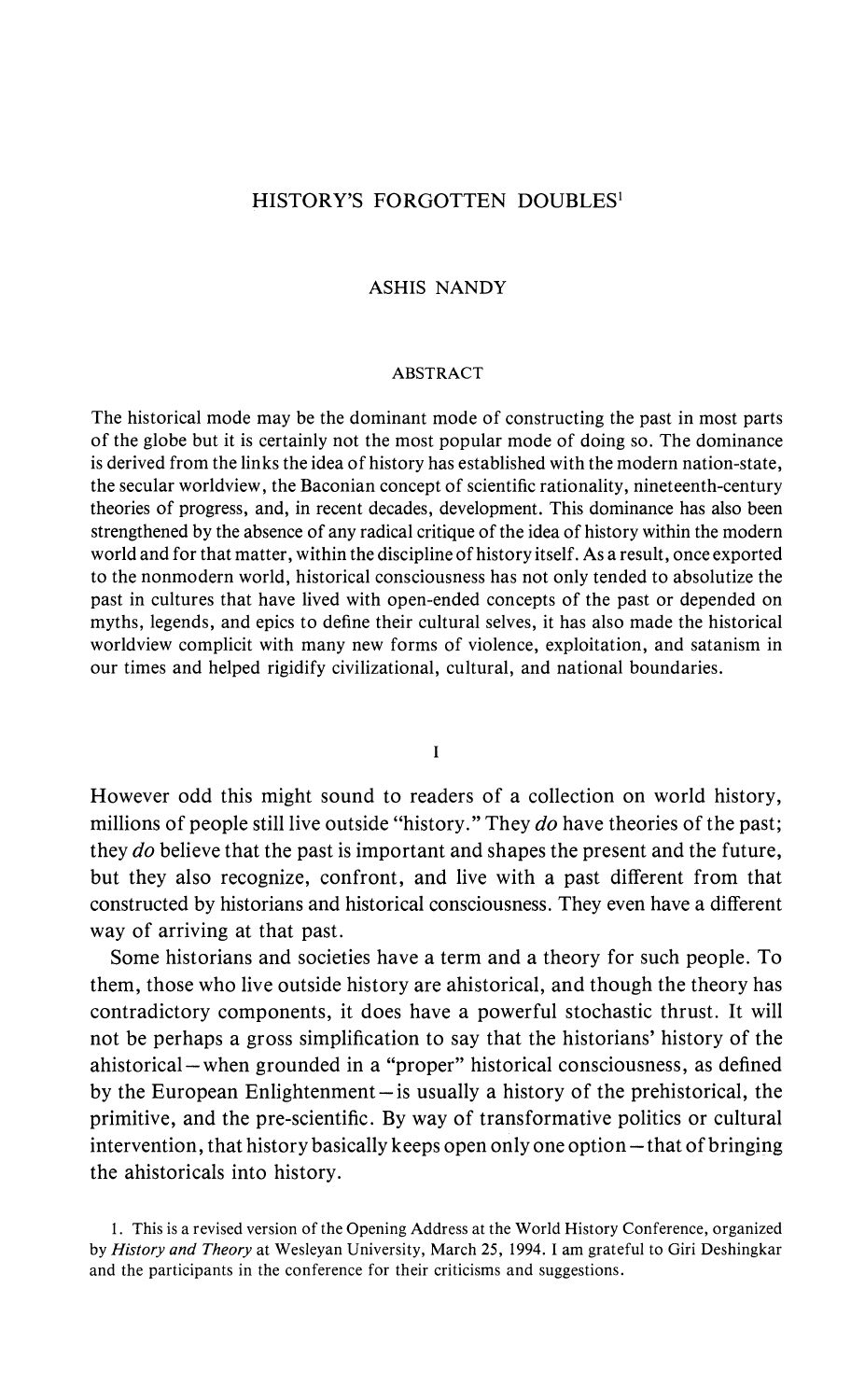## **HISTORY'S FORGOTTEN DOUBLES'**

#### **ASHIS NANDY**

#### **ABSTRACT**

**The historical mode may be the dominant mode of constructing the past in most parts of the globe but it is certainly not the most popular mode of doing so. The dominance is derived from the links the idea of history has established with the modern nation-state, the secular worldview, the Baconian concept of scientific rationality, nineteenth-century theories of progress, and, in recent decades, development. This dominance has also been strengthened by the absence of any radical critique of the idea of history within the modern world and for that matter, within the discipline of history itself. As a result, once exported to the nonmodern world, historical consciousness has not only tended to absolutize the past in cultures that have lived with open-ended concepts of the past or depended on myths, legends, and epics to define their cultural selves, it has also made the historical worldview complicit with many new forms of violence, exploitation, and satanism in our times and helped rigidify civilizational, cultural, and national boundaries.** 

 $\mathbf I$ 

**However odd this might sound to readers of a collection on world history, millions of people still live outside "history." They do have theories of the past; they do believe that the past is important and shapes the present and the future, but they also recognize, confront, and live with a past different from that constructed by historians and historical consciousness. They even have a different way of arriving at that past.** 

**Some historians and societies have a term and a theory for such people. To them, those who live outside history are ahistorical, and though the theory has contradictory components, it does have a powerful stochastic thrust. It will not be perhaps a gross simplification to say that the historians' history of the ahistorical-when grounded in a "proper" historical consciousness, as defined by the European Enlightenment-is usually a history of the prehistorical, the primitive, and the pre-scientific. By way of transformative politics or cultural intervention, that history basically keeps open only one option - that of bringing the ahistoricals into history.** 

**1. This is a revised version of the Opening Address at the World History Conference, organized by History and Theory at Wesleyan University, March 25, 1994. I am grateful to Giri Deshingkar and the participants in the conference for their criticisms and suggestions.**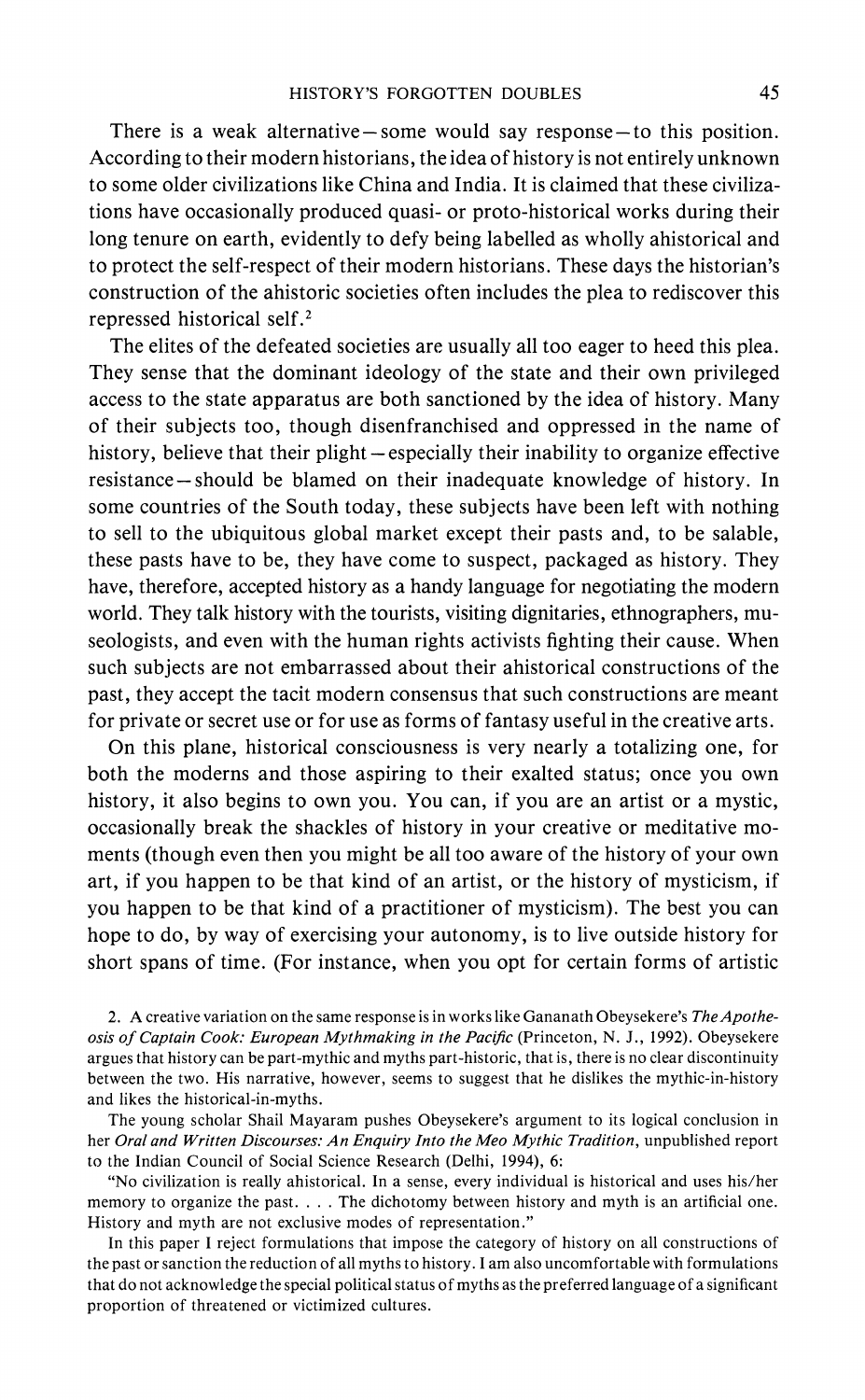**There is a weak alternative - some would say response - to this position. According to their modern historians, the idea of history is not entirely unknown to some older civilizations like China and India. It is claimed that these civilizations have occasionally produced quasi- or proto-historical works during their long tenure on earth, evidently to defy being labelled as wholly ahistorical and to protect the self-respect of their modern historians. These days the historian's construction of the ahistoric societies often includes the plea to rediscover this repressed historical self.2** 

**The elites of the defeated societies are usually all too eager to heed this plea. They sense that the dominant ideology of the state and their own privileged access to the state apparatus are both sanctioned by the idea of history. Many of their subjects too, though disenfranchised and oppressed in the name of history, believe that their plight - especially their inability to organize effective resistance - should be blamed on their inadequate knowledge of history. In some countries of the South today, these subjects have been left with nothing to sell to the ubiquitous global market except their pasts and, to be salable, these pasts have to be, they have come to suspect, packaged as history. They have, therefore, accepted history as a handy language for negotiating the modern world. They talk history with the tourists, visiting dignitaries, ethnographers, museologists, and even with the human rights activists fighting their cause. When such subjects are not embarrassed about their ahistorical constructions of the past, they accept the tacit modern consensus that such constructions are meant for private or secret use or for use as forms of fantasy useful in the creative arts.** 

**On this plane, historical consciousness is very nearly a totalizing one, for both the moderns and those aspiring to their exalted status; once you own history, it also begins to own you. You can, if you are an artist or a mystic, occasionally break the shackles of history in your creative or meditative moments (though even then you might be all too aware of the history of your own art, if you happen to be that kind of an artist, or the history of mysticism, if you happen to be that kind of a practitioner of mysticism). The best you can hope to do, by way of exercising your autonomy, is to live outside history for short spans of time. (For instance, when you opt for certain forms of artistic** 

2. A creative variation on the same response is in works like Gananath Obeysekere's *The Apothe***osis of Captain Cook: European Mythmaking in the Pacific (Princeton, N. J., 1992). Obeysekere argues that history can be part-mythic and myths part-historic, that is, there is no clear discontinuity between the two. His narrative, however, seems to suggest that he dislikes the mythic-in-history and likes the historical-in-myths.** 

**The young scholar Shail Mayaram pushes Obeysekere's argument to its logical conclusion in her Oral and Written Discourses: An Enquiry Into the Meo Mythic Tradition, unpublished report to the Indian Council of Social Science Research (Delhi, 1994), 6:** 

**"No civilization is really ahistorical. In a sense, every individual is historical and uses his/her memory to organize the past. . . The dichotomy between history and myth is an artificial one. History and myth are not exclusive modes of representation."** 

**In this paper I reject formulations that impose the category of history on all constructions of the past or sanction the reduction of all myths to history. I am also uncomfortable with formulations that do not acknowledge the special political status of myths as the preferred language of a significant proportion of threatened or victimized cultures.**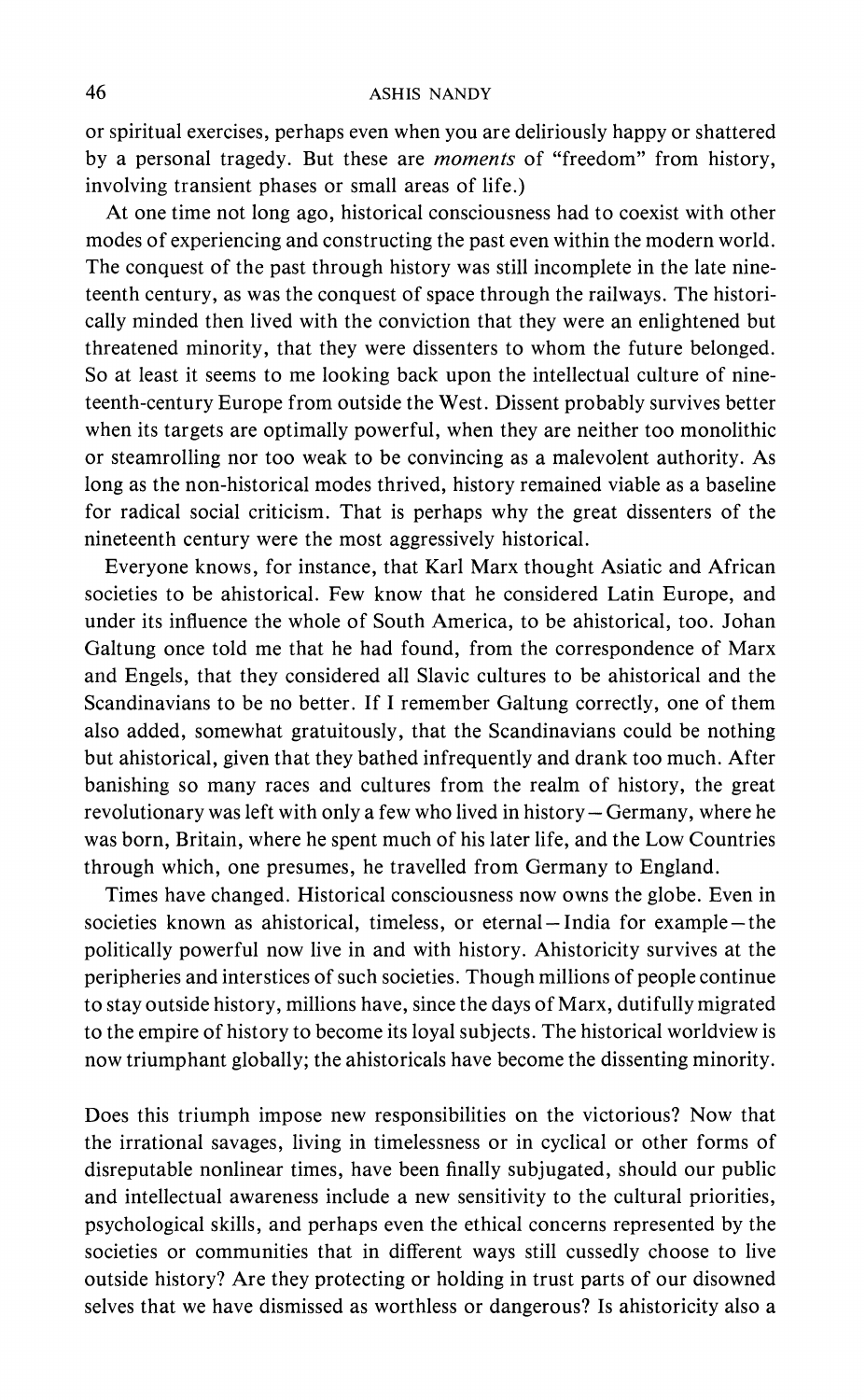**or spiritual exercises, perhaps even when you are deliriously happy or shattered by a personal tragedy. But these are moments of "freedom" from history, involving transient phases or small areas of life.)** 

**At one time not long ago, historical consciousness had to coexist with other modes of experiencing and constructing the past even within the modern world. The conquest of the past through history was still incomplete in the late nineteenth century, as was the conquest of space through the railways. The historically minded then lived with the conviction that they were an enlightened but threatened minority, that they were dissenters to whom the future belonged. So at least it seems to me looking back upon the intellectual culture of nineteenth-century Europe from outside the West. Dissent probably survives better when its targets are optimally powerful, when they are neither too monolithic or steamrolling nor too weak to be convincing as a malevolent authority. As long as the non-historical modes thrived, history remained viable as a baseline for radical social criticism. That is perhaps why the great dissenters of the nineteenth century were the most aggressively historical.** 

**Everyone knows, for instance, that Karl Marx thought Asiatic and African societies to be ahistorical. Few know that he considered Latin Europe, and under its influence the whole of South America, to be ahistorical, too. Johan Galtung once told me that he had found, from the correspondence of Marx and Engels, that they considered all Slavic cultures to be ahistorical and the Scandinavians to be no better. If I remember Galtung correctly, one of them also added, somewhat gratuitously, that the Scandinavians could be nothing but ahistorical, given that they bathed infrequently and drank too much. After banishing so many races and cultures from the realm of history, the great revolutionary was left with only a few who lived in history - Germany, where he was born, Britain, where he spent much of his later life, and the Low Countries through which, one presumes, he travelled from Germany to England.** 

**Times have changed. Historical consciousness now owns the globe. Even in societies known as ahistorical, timeless, or eternal - India for example - the politically powerful now live in and with history. Ahistoricity survives at the peripheries and interstices of such societies. Though millions of people continue to stay outside history, millions have, since the days of Marx, dutifully migrated to the empire of history to become its loyal subjects. The historical worldview is now triumphant globally; the ahistoricals have become the dissenting minority.** 

**Does this triumph impose new responsibilities on the victorious? Now that the irrational savages, living in timelessness or in cyclical or other forms of disreputable nonlinear times, have been finally subjugated, should our public and intellectual awareness include a new sensitivity to the cultural priorities, psychological skills, and perhaps even the ethical concerns represented by the societies or communities that in different ways still cussedly choose to live outside history? Are they protecting or holding in trust parts of our disowned selves that we have dismissed as worthless or dangerous? Is ahistoricity also a**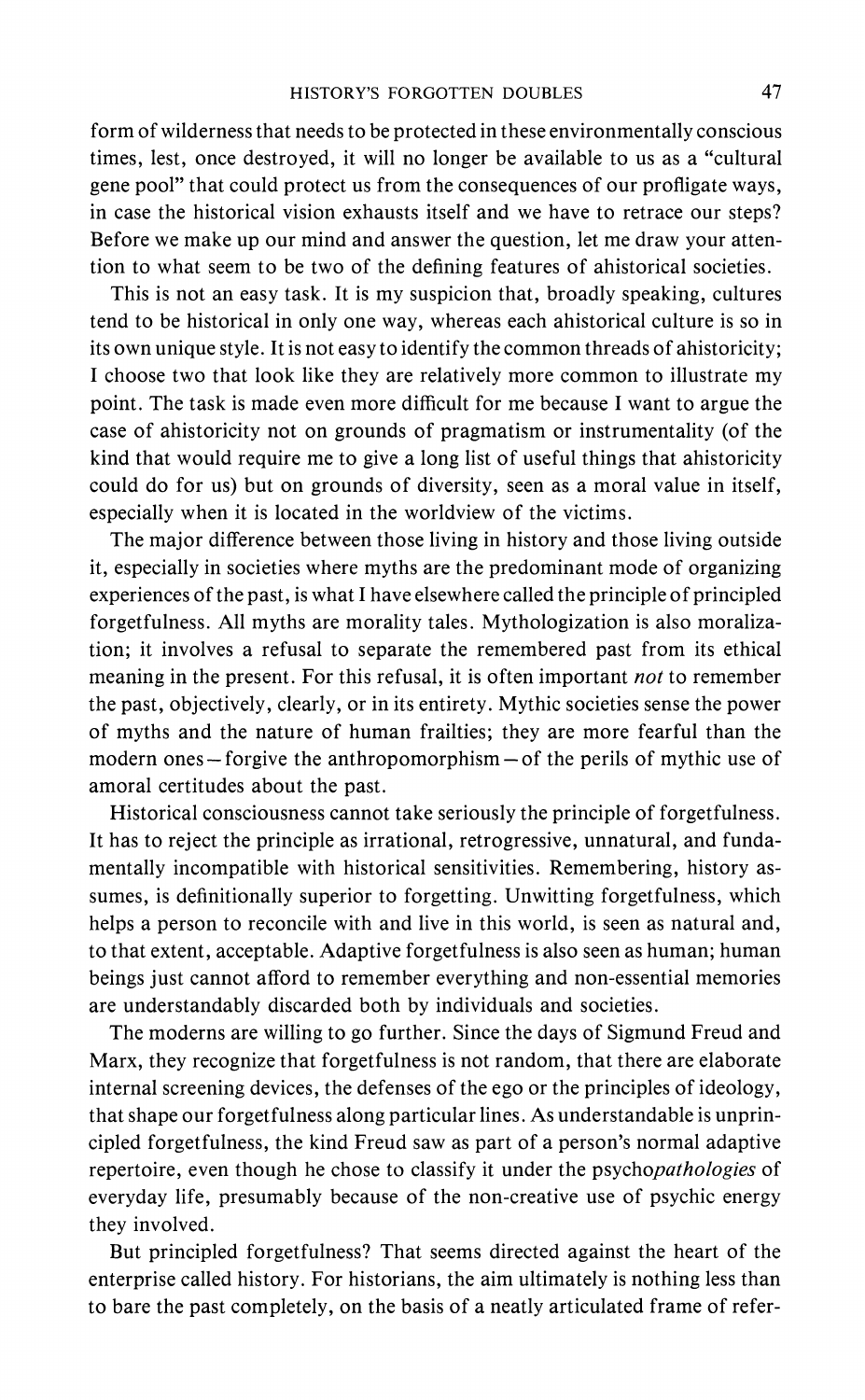**form of wilderness that needs to be protected in these environmentally conscious times, lest, once destroyed, it will no longer be available to us as a "cultural gene pool" that could protect us from the consequences of our profligate ways, in case the historical vision exhausts itself and we have to retrace our steps? Before we make up our mind and answer the question, let me draw your attention to what seem to be two of the defining features of ahistorical societies.** 

**This is not an easy task. It is my suspicion that, broadly speaking, cultures tend to be historical in only one way, whereas each ahistorical culture is so in its own unique style. It is not easy to identify the common threads of ahistoricity; I choose two that look like they are relatively more common to illustrate my point. The task is made even more difficult for me because I want to argue the case of ahistoricity not on grounds of pragmatism or instrumentality (of the kind that would require me to give a long list of useful things that ahistoricity could do for us) but on grounds of diversity, seen as a moral value in itself, especially when it is located in the worldview of the victims.** 

**The major difference between those living in history and those living outside it, especially in societies where myths are the predominant mode of organizing experiences of the past, is what I have elsewhere called the principle of principled forgetfulness. All myths are morality tales. Mythologization is also moralization; it involves a refusal to separate the remembered past from its ethical meaning in the present. For this refusal, it is often important not to remember the past, objectively, clearly, or in its entirety. Mythic societies sense the power of myths and the nature of human frailties; they are more fearful than the modern ones - forgive the anthropomorphism - of the perils of mythic use of amoral certitudes about the past.** 

**Historical consciousness cannot take seriously the principle of forgetfulness. It has to reject the principle as irrational, retrogressive, unnatural, and fundamentally incompatible with historical sensitivities. Remembering, history assumes, is definitionally superior to forgetting. Unwitting forgetfulness, which helps a person to reconcile with and live in this world, is seen as natural and, to that extent, acceptable. Adaptive forgetfulness is also seen as human; human beings just cannot afford to remember everything and non-essential memories are understandably discarded both by individuals and societies.** 

**The moderns are willing to go further. Since the days of Sigmund Freud and Marx, they recognize that forgetfulness is not random, that there are elaborate internal screening devices, the defenses of the ego or the principles of ideology, that shape our forgetfulness along particular lines. As understandable is unprincipled forgetfulness, the kind Freud saw as part of a person's normal adaptive repertoire, even though he chose to classify it under the psychopathologies of everyday life, presumably because of the non-creative use of psychic energy they involved.** 

**But principled forgetfulness? That seems directed against the heart of the enterprise called history. For historians, the aim ultimately is nothing less than to bare the past completely, on the basis of a neatly articulated frame of refer-**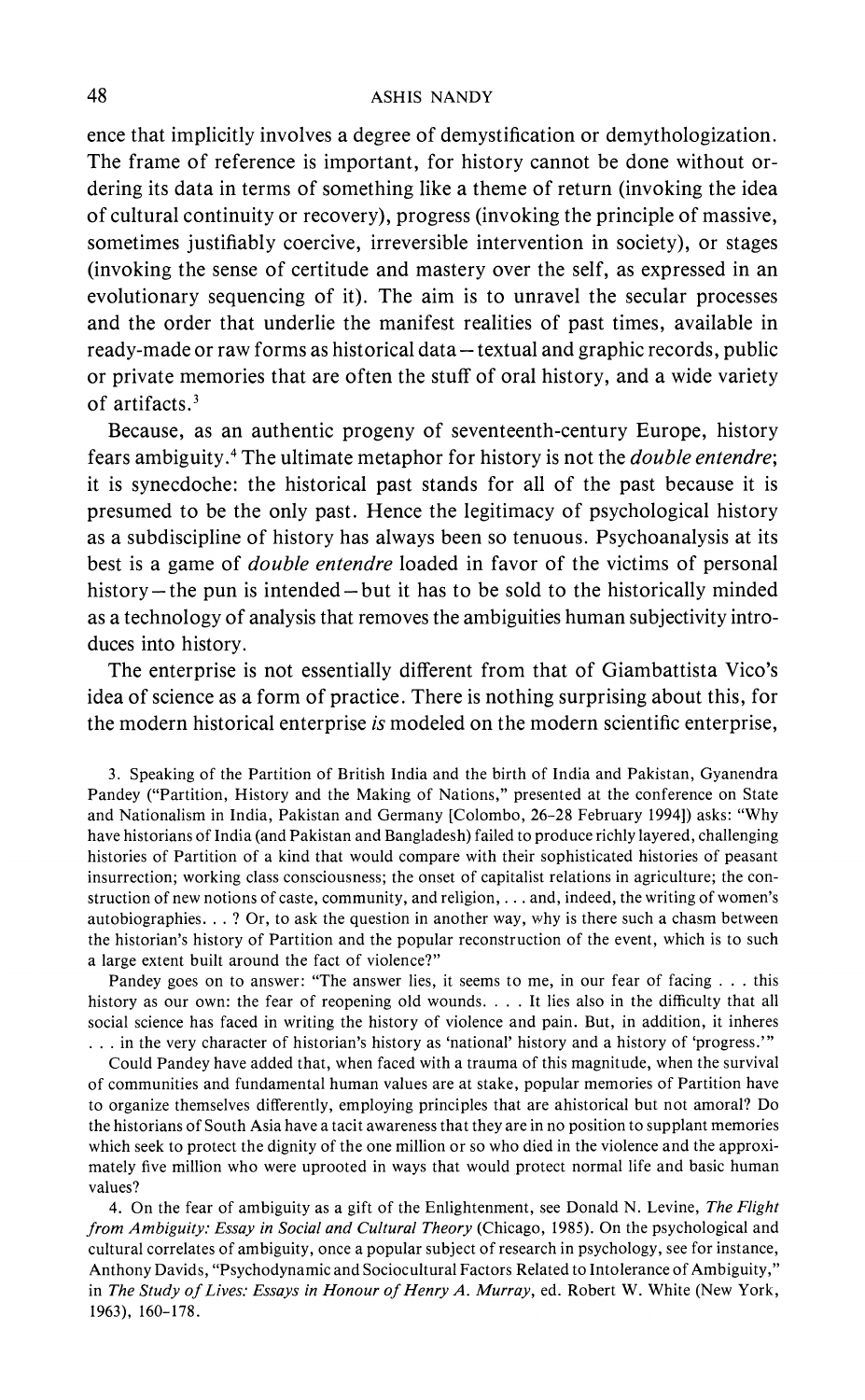**ence that implicitly involves a degree of demystification or demythologization. The frame of reference is important, for history cannot be done without ordering its data in terms of something like a theme of return (invoking the idea of cultural continuity or recovery), progress (invoking the principle of massive, sometimes justifiably coercive, irreversible intervention in society), or stages (invoking the sense of certitude and mastery over the self, as expressed in an evolutionary sequencing of it). The aim is to unravel the secular processes and the order that underlie the manifest realities of past times, available in**  ready-made or raw forms as historical data – textual and graphic records, public **or private memories that are often the stuff of oral history, and a wide variety of artifacts.3** 

**Because, as an authentic progeny of seventeenth-century Europe, history fears ambiguity.4 The ultimate metaphor for history is not the double entendre; it is synecdoche: the historical past stands for all of the past because it is presumed to be the only past. Hence the legitimacy of psychological history as a subdiscipline of history has always been so tenuous. Psychoanalysis at its best is a game of double entendre loaded in favor of the victims of personal history - the pun is intended - but it has to be sold to the historically minded as a technology of analysis that removes the ambiguities human subjectivity introduces into history.** 

**The enterprise is not essentially different from that of Giambattista Vico's idea of science as a form of practice. There is nothing surprising about this, for the modern historical enterprise is modeled on the modern scientific enterprise,** 

**3. Speaking of the Partition of British India and the birth of India and Pakistan, Gyanendra Pandey ("Partition, History and the Making of Nations," presented at the conference on State and Nationalism in India, Pakistan and Germany [Colombo, 26-28 February 1994]) asks: "Why have historians of India (and Pakistan and Bangladesh) failed to produce richly layered, challenging histories of Partition of a kind that would compare with their sophisticated histories of peasant insurrection; working class consciousness; the onset of capitalist relations in agriculture; the construction of new notions of caste, community, and religion,... and, indeed, the writing of women's autobiographies... ? Or, to ask the question in another way, why is there such a chasm between the historian's history of Partition and the popular reconstruction of the event, which is to such a large extent built around the fact of violence?"** 

**Pandey goes on to answer: "The answer lies, it seems to me, in our fear of facing . . this history as our own: the fear of reopening old wounds. . . . It lies also in the difficulty that all social science has faced in writing the history of violence and pain. But, in addition, it inheres . . .in the very character of historian's history as 'national' history and a history of 'progress."'** 

**Could Pandey have added that, when faced with a trauma of this magnitude, when the survival of communities and fundamental human values are at stake, popular memories of Partition have to organize themselves differently, employing principles that are ahistorical but not amoral? Do the historians of South Asia have a tacit awareness that they are in no position to supplant memories which seek to protect the dignity of the one million or so who died in the violence and the approximately five million who were uprooted in ways that would protect normal life and basic human values?** 

**4. On the fear of ambiguity as a gift of the Enlightenment, see Donald N. Levine, The Flight from Ambiguity: Essay in Social and Cultural Theory (Chicago, 1985). On the psychological and cultural correlates of ambiguity, once a popular subject of research in psychology, see for instance, Anthony Davids, "Psychodynamic and Sociocultural Factors Related to Intolerance of Ambiguity," in The Study of Lives. Essays in Honour of Henry A. Murray, ed. Robert W. White (New York, 1963), 160-178.**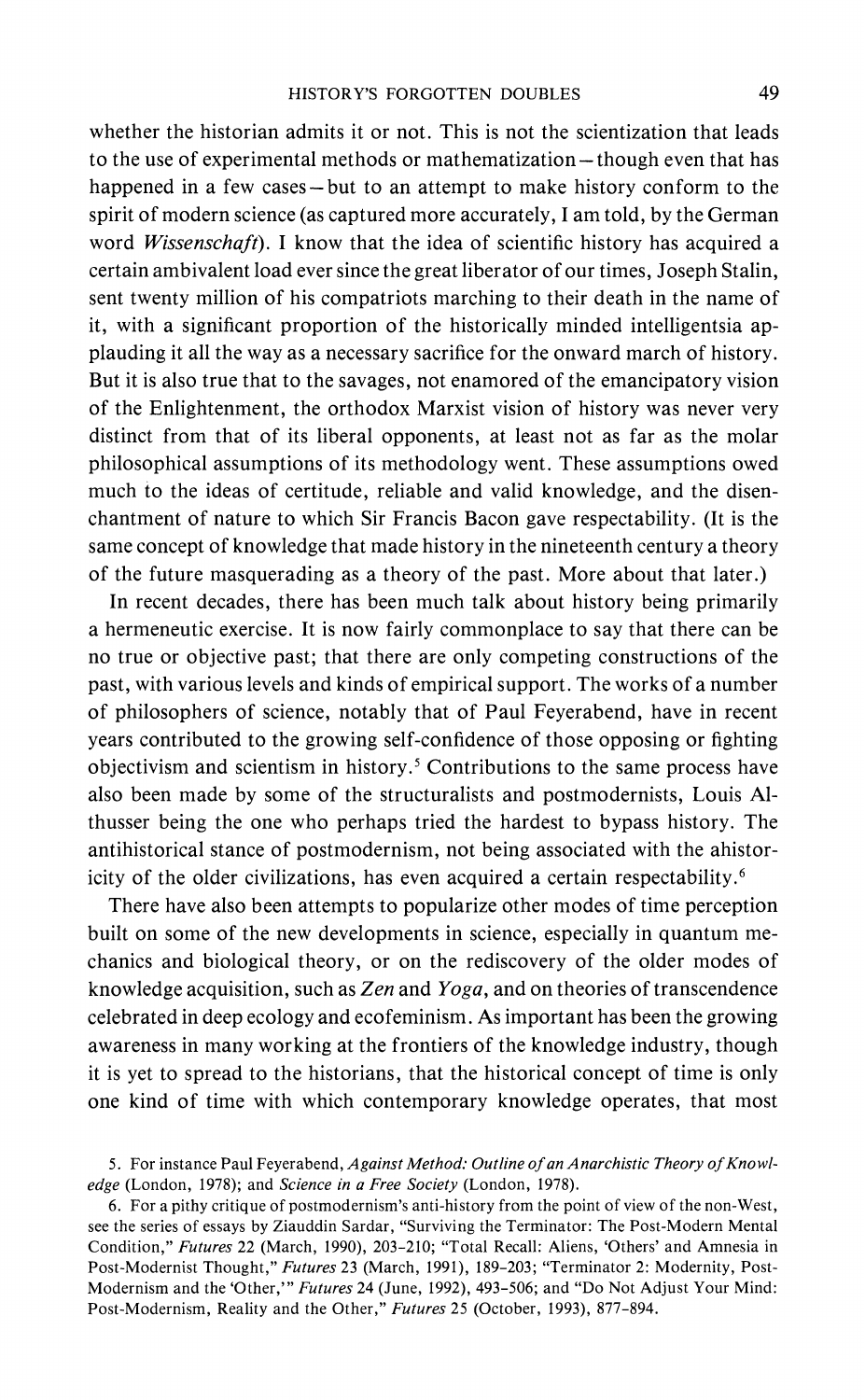**whether the historian admits it or not. This is not the scientization that leads to the use of experimental methods or mathematization - though even that has happened in a few cases-but to an attempt to make history conform to the spirit of modern science (as captured more accurately, I am told, by the German word Wissenschaft). I know that the idea of scientific history has acquired a certain ambivalent load ever since the great liberator of our times, Joseph Stalin, sent twenty million of his compatriots marching to their death in the name of it, with a significant proportion of the historically minded intelligentsia applauding it all the way as a necessary sacrifice for the onward march of history. But it is also true that to the savages, not enamored of the emancipatory vision of the Enlightenment, the orthodox Marxist vision of history was never very distinct from that of its liberal opponents, at least not as far as the molar philosophical assumptions of its methodology went. These assumptions owed much to the ideas of certitude, reliable and valid knowledge, and the disenchantment of nature to which Sir Francis Bacon gave respectability. (It is the same concept of knowledge that made history in the nineteenth century a theory of the future masquerading as a theory of the past. More about that later.)** 

**In recent decades, there has been much talk about history being primarily a hermeneutic exercise. It is now fairly commonplace to say that there can be no true or objective past; that there are only competing constructions of the past, with various levels and kinds of empirical support. The works of a number of philosophers of science, notably that of Paul Feyerabend, have in recent years contributed to the growing self-confidence of those opposing or fighting objectivism and scientism in history.5 Contributions to the same process have also been made by some of the structuralists and postmodernists, Louis Althusser being the one who perhaps tried the hardest to bypass history. The antihistorical stance of postmodernism, not being associated with the ahistoricity of the older civilizations, has even acquired a certain respectability.6** 

**There have also been attempts to popularize other modes of time perception built on some of the new developments in science, especially in quantum mechanics and biological theory, or on the rediscovery of the older modes of knowledge acquisition, such as Zen and Yoga, and on theories of transcendence celebrated in deep ecology and ecofeminism. As important has been the growing awareness in many working at the frontiers of the knowledge industry, though it is yet to spread to the historians, that the historical concept of time is only one kind of time with which contemporary knowledge operates, that most** 

**<sup>5.</sup> For instance Paul Feyerabend, Against Method: Outline of an Anarchistic Theory of Knowledge (London, 1978); and Science in a Free Society (London, 1978).** 

**<sup>6.</sup> For a pithy critique of postmodernism's anti-history from the point of view of the non-West, see the series of essays by Ziauddin Sardar, "Surviving the Terminator: The Post-Modern Mental Condition," Futures 22 (March, 1990), 203-210; "Total Recall: Aliens, 'Others' and Amnesia in Post-Modernist Thought," Futures 23 (March, 1991), 189-203; "Terminator 2: Modernity, Post-Modernism and the 'Other,"' Futures 24 (June, 1992), 493-506; and "Do Not Adjust Your Mind: Post-Modernism, Reality and the Other," Futures 25 (October, 1993), 877-894.**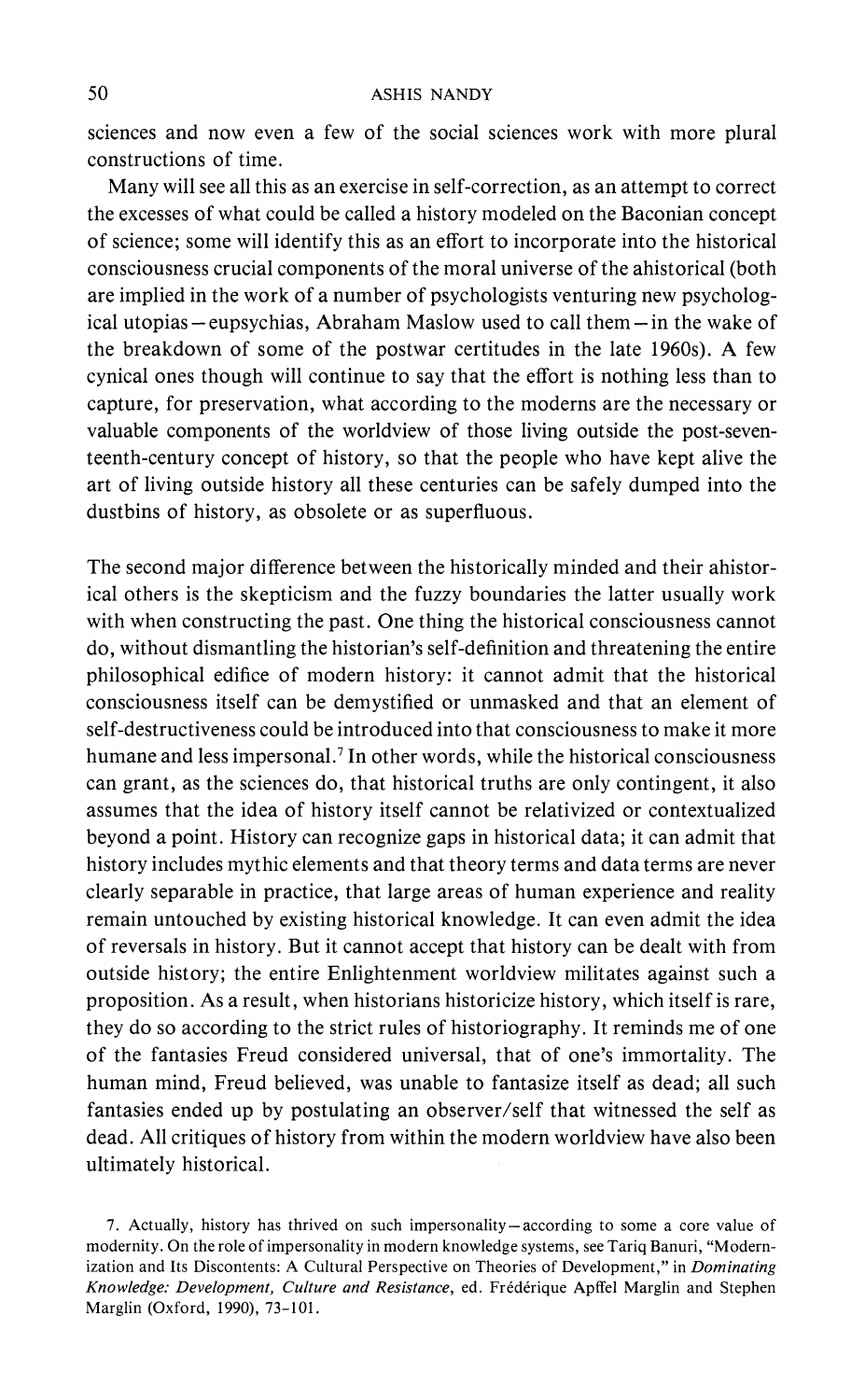**sciences and now even a few of the social sciences work with more plural constructions of time.** 

**Many will see all this as an exercise in self-correction, as an attempt to correct the excesses of what could be called a history modeled on the Baconian concept of science; some will identify this as an effort to incorporate into the historical consciousness crucial components of the moral universe of the ahistorical (both are implied in the work of a number of psychologists venturing new psychological utopias - eupsychias, Abraham Maslow used to call them - in the wake of the breakdown of some of the postwar certitudes in the late 1960s). A few cynical ones though will continue to say that the effort is nothing less than to capture, for preservation, what according to the moderns are the necessary or valuable components of the worldview of those living outside the post-seventeenth-century concept of history, so that the people who have kept alive the art of living outside history all these centuries can be safely dumped into the dustbins of history, as obsolete or as superfluous.** 

**The second major difference between the historically minded and their ahistorical others is the skepticism and the fuzzy boundaries the latter usually work with when constructing the past. One thing the historical consciousness cannot do, without dismantling the historian's self-definition and threatening the entire philosophical edifice of modern history: it cannot admit that the historical consciousness itself can be demystified or unmasked and that an element of self-destructiveness could be introduced into that consciousness to make it more humane and less impersonal.' In other words, while the historical consciousness can grant, as the sciences do, that historical truths are only contingent, it also assumes that the idea of history itself cannot be relativized or contextualized beyond a point. History can recognize gaps in historical data; it can admit that history includes mythic elements and that theory terms and data terms are never clearly separable in practice, that large areas of human experience and reality remain untouched by existing historical knowledge. It can even admit the idea of reversals in history. But it cannot accept that history can be dealt with from outside history; the entire Enlightenment worldview militates against such a proposition. As a result, when historians historicize history, which itself is rare, they do so according to the strict rules of historiography. It reminds me of one of the fantasies Freud considered universal, that of one's immortality. The human mind, Freud believed, was unable to fantasize itself as dead; all such fantasies ended up by postulating an observer/self that witnessed the self as dead. All critiques of history from within the modern worldview have also been ultimately historical.** 

**<sup>7.</sup> Actually, history has thrived on such impersonality-according to some a core value of modernity. On the role of impersonality in modern knowledge systems, see Tariq Banuri, "Modernization and Its Discontents: A Cultural Perspective on Theories of Development," in Dominating Knowledge: Development, Culture and Resistance, ed. Frederique Apffel Marglin and Stephen Marglin (Oxford, 1990), 73-101.**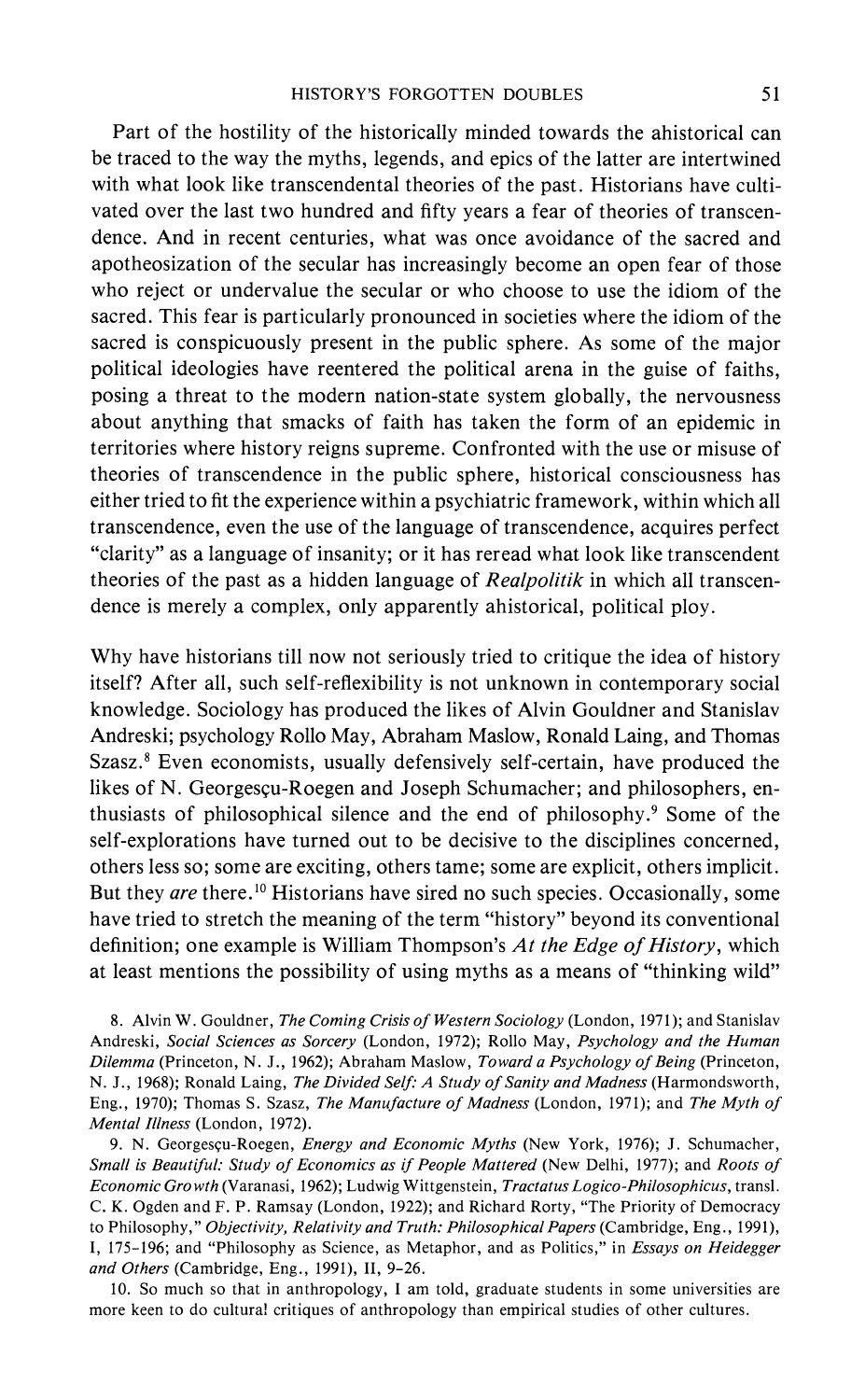**Part of the hostility of the historically minded towards the ahistorical can be traced to the way the myths, legends, and epics of the latter are intertwined with what look like transcendental theories of the past. Historians have cultivated over the last two hundred and fifty years a fear of theories of transcendence. And in recent centuries, what was once avoidance of the sacred and apotheosization of the secular has increasingly become an open fear of those who reject or undervalue the secular or who choose to use the idiom of the sacred. This fear is particularly pronounced in societies where the idiom of the sacred is conspicuously present in the public sphere. As some of the major political ideologies have reentered the political arena in the guise of faiths, posing a threat to the modern nation-state system globally, the nervousness about anything that smacks of faith has taken the form of an epidemic in territories where history reigns supreme. Confronted with the use or misuse of theories of transcendence in the public sphere, historical consciousness has either tried to fit the experience within a psychiatric framework, within which all transcendence, even the use of the language of transcendence, acquires perfect "clarity" as a language of insanity; or it has reread what look like transcendent theories of the past as a hidden language of Realpolitik in which all transcendence is merely a complex, only apparently ahistorical, political ploy.** 

**Why have historians till now not seriously tried to critique the idea of history itself? After all, such self-reflexibility is not unknown in contemporary social knowledge. Sociology has produced the likes of Alvin Gouldner and Stanislav Andreski; psychology Rollo May, Abraham Maslow, Ronald Laing, and Thomas**  Szasz.<sup>8</sup> Even economists, usually defensively self-certain, have produced the **likes of N. Georgesgu-Roegen and Joseph Schumacher; and philosophers, enthusiasts of philosophical silence and the end of philosophy.9 Some of the self-explorations have turned out to be decisive to the disciplines concerned, others less so; some are exciting, others tame; some are explicit, others implicit. But they are there.'0 Historians have sired no such species. Occasionally, some have tried to stretch the meaning of the term "history" beyond its conventional definition; one example is William Thompson's At the Edge of History, which at least mentions the possibility of using myths as a means of "thinking wild"** 

**8. Alvin W. Gouldner, The Coming Crisis of Western Sociology (London, 1971); and Stanislav Andreski, Social Sciences as Sorcery (London, 1972); Rollo May, Psychology and the Human Dilemma (Princeton, N. J., 1962); Abraham Maslow, Toward a Psychology of Being (Princeton, N. J., 1968); Ronald Laing, The Divided Self: A Study of Sanity and Madness (Harmondsworth, Eng., 1970); Thomas S. Szasz, The Manufacture of Madness (London, 1971); and The Myth of Mental Illness (London, 1972).** 

**9. N. Georgesqu-Roegen, Energy and Economic Myths (New York, 1976); J. Schumacher, Small is Beautiful: Study of Economics as if People Mattered (New Delhi, 1977); and Roots of Economic Growth (Varanasi, 1962); Ludwig Wittgenstein, Tractatus Logico-Philosophicus, transl. C. K. Ogden and F. P. Ramsay (London, 1922); and Richard Rorty, "The Priority of Democracy to Philosophy," Objectivity, Relativity and Truth: Philosophical Papers (Cambridge, Eng., 1991), I, 175-196; and "Philosophy as Science, as Metaphor, and as Politics," in Essays on Heidegger and Others (Cambridge, Eng., 1991), II, 9-26.** 

**10. So much so that in anthropology, I am told, graduate students in some universities are more keen to do cultural critiques of anthropology than empirical studies of other cultures.**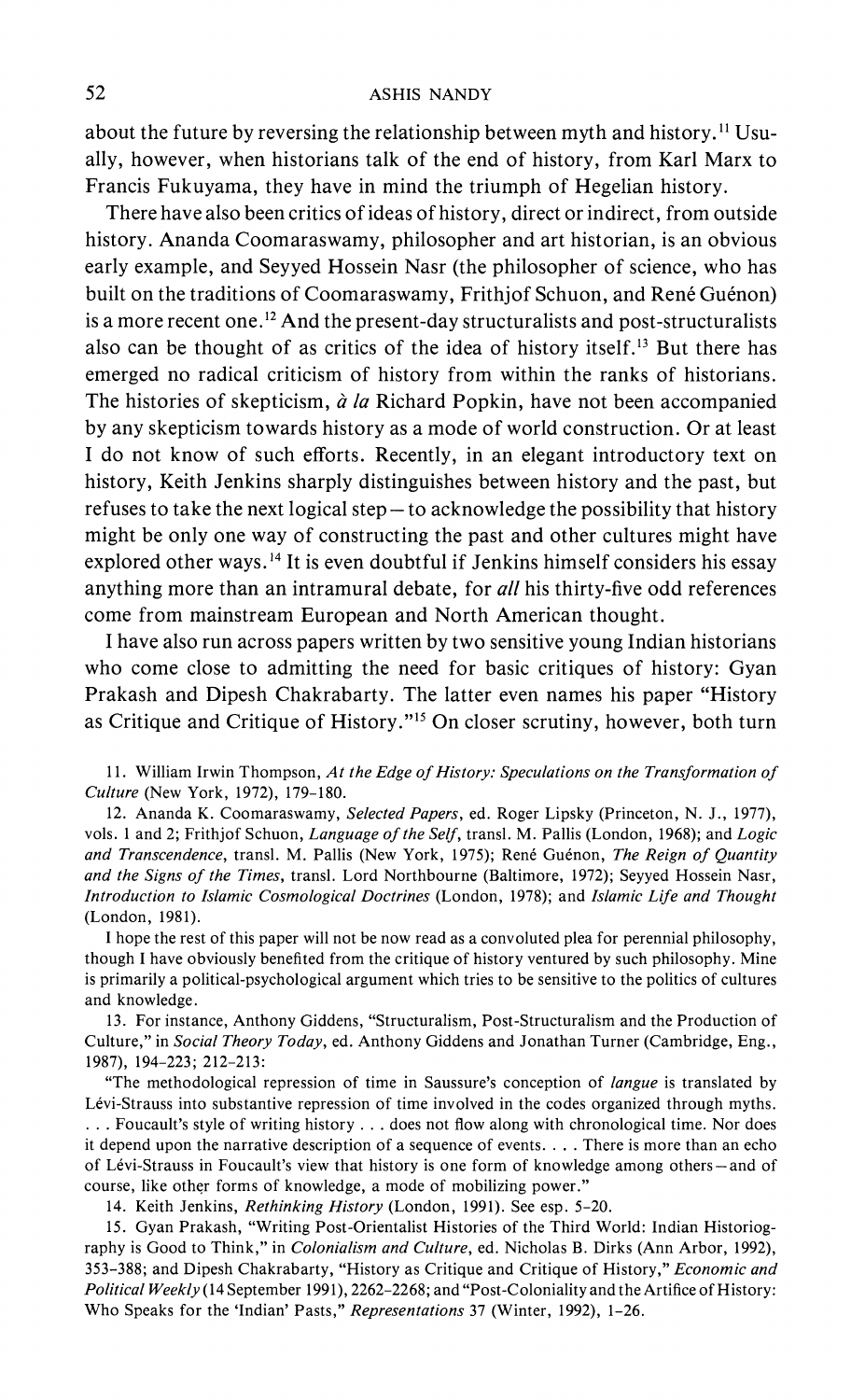**about the future by reversing the relationship between myth and history. "I Usually, however, when historians talk of the end of history, from Karl Marx to Francis Fukuyama, they have in mind the triumph of Hegelian history.** 

**There have also been critics of ideas of history, direct or indirect, from outside history. Ananda Coomaraswamy, philosopher and art historian, is an obvious early example, and Seyyed Hossein Nasr (the philosopher of science, who has**  built on the traditions of Coomaraswamy, Frithjof Schuon, and René Guénon) **is a more recent one.12 And the present-day structuralists and post-structuralists also can be thought of as critics of the idea of history itself.'3 But there has emerged no radical criticism of history from within the ranks of historians. The histories of skepticism, a la Richard Popkin, have not been accompanied by any skepticism towards history as a mode of world construction. Or at least I do not know of such efforts. Recently, in an elegant introductory text on history, Keith Jenkins sharply distinguishes between history and the past, but refuses to take the next logical step - to acknowledge the possibility that history might be only one way of constructing the past and other cultures might have explored other ways. 14 It is even doubtful if Jenkins himself considers his essay anything more than an intramural debate, for all his thirty-five odd references come from mainstream European and North American thought.** 

**I have also run across papers written by two sensitive young Indian historians who come close to admitting the need for basic critiques of history: Gyan Prakash and Dipesh Chakrabarty. The latter even names his paper "History as Critique and Critique of History.' 15 On closer scrutiny, however, both turn** 

**11. William Irwin Thompson, At the Edge of History: Speculations on the Transformation of Culture (New York, 1972), 179-180.** 

**12. Ananda K. Coomaraswamy, Selected Papers, ed. Roger Lipsky (Princeton, N. J., 1977), vols. 1 and 2; Frithjof Schuon, Language of the Self, transl. M. Pallis (London, 1968); and Logic**  and Transcendence, transl. M. Pallis (New York, 1975); René Guénon, The Reign of Quantity **and the Signs of the Times, transl. Lord Northbourne (Baltimore, 1972); Seyyed Hossein Nasr, Introduction to Islamic Cosmological Doctrines (London, 1978); and Islamic Life and Thought (London, 1981).** 

**I hope the rest of this paper will not be now read as a convoluted plea for perennial philosophy, though I have obviously benefited from the critique of history ventured by such philosophy. Mine is primarily a political-psychological argument which tries to be sensitive to the politics of cultures and knowledge.** 

**13. For instance, Anthony Giddens, "Structuralism, Post-Structuralism and the Production of Culture," in Social Theory Today, ed. Anthony Giddens and Jonathan Turner (Cambridge, Eng., 1987), 194-223; 212-213:** 

**"The methodological repression of time in Saussure's conception of langue is translated by Levi-Strauss into substantive repression of time involved in the codes organized through myths. ... Foucault's style of writing history ... does not flow along with chronological time. Nor does it depend upon the narrative description of a sequence of events.... There is more than an echo of Levi-Strauss in Foucault's view that history is one form of knowledge among others-and of course, like other forms of knowledge, a mode of mobilizing power."** 

**14. Keith Jenkins, Rethinking History (London, 1991). See esp. 5-20.** 

**15. Gyan Prakash, "Writing Post-Orientalist Histories of the Third World: Indian Historiography is Good to Think," in Colonialism and Culture, ed. Nicholas B. Dirks (Ann Arbor, 1992), 353-388; and Dipesh Chakrabarty, "History as Critique and Critique of History," Economic and Political Weekly (14 September 1991),2262-2268; and "Post-Coloniality and the Artifice of History: Who Speaks for the 'Indian' Pasts," Representations 37 (Winter, 1992), 1-26.**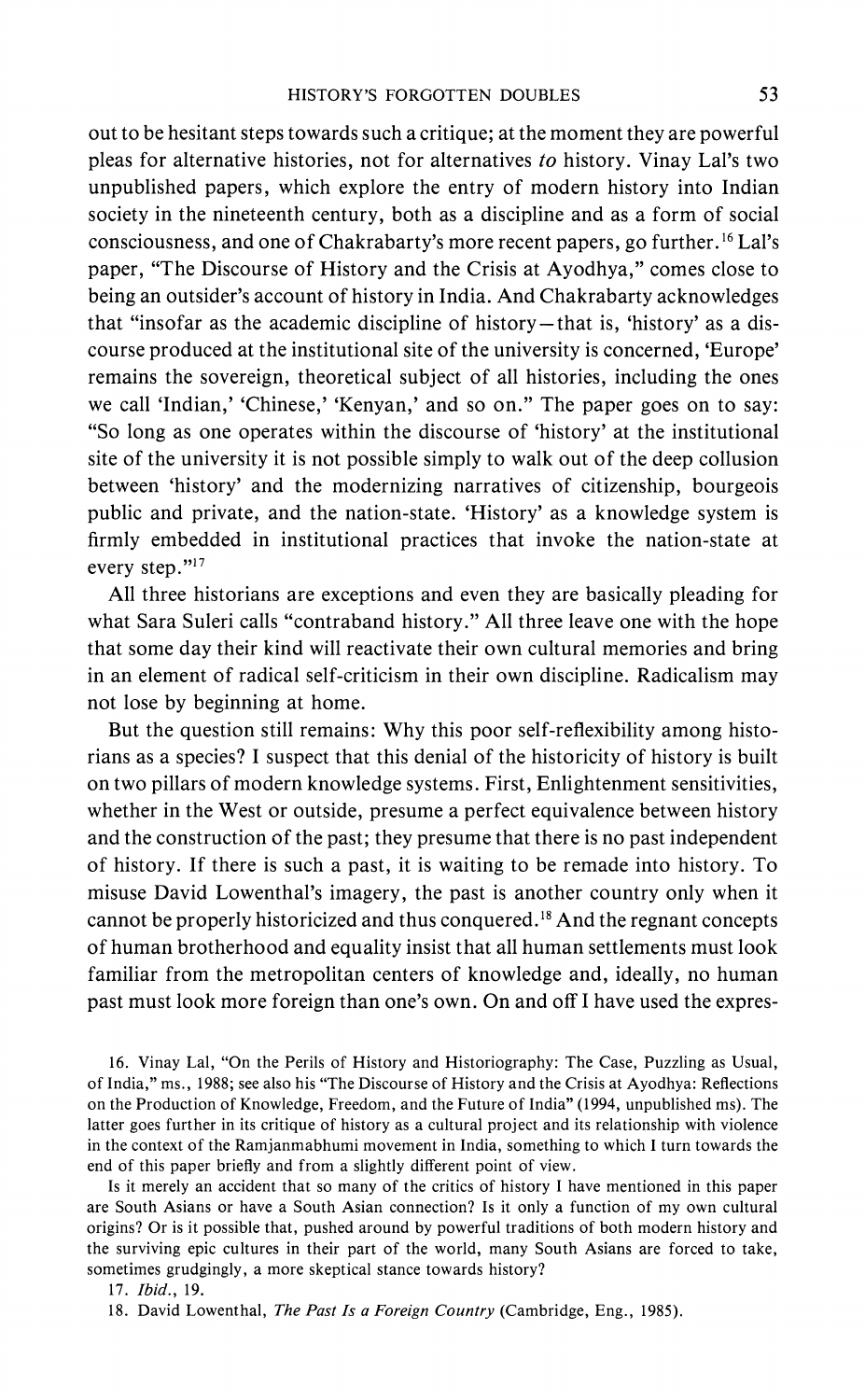**out to be hesitant steps towards such a critique; at the moment they are powerful pleas for alternative histories, not for alternatives to history. Vinay Lal's two unpublished papers, which explore the entry of modern history into Indian society in the nineteenth century, both as a discipline and as a form of social consciousness, and one of Chakrabarty's more recent papers, go further. 16 Lal's paper, "The Discourse of History and the Crisis at Ayodhya," comes close to being an outsider's account of history in India. And Chakrabarty acknowledges that "insofar as the academic discipline of history-that is, 'history' as a discourse produced at the institutional site of the university is concerned, 'Europe' remains the sovereign, theoretical subject of all histories, including the ones we call 'Indian,' 'Chinese,' 'Kenyan,' and so on." The paper goes on to say: "So long as one operates within the discourse of 'history' at the institutional site of the university it is not possible simply to walk out of the deep collusion between 'history' and the modernizing narratives of citizenship, bourgeois public and private, and the nation-state. 'History' as a knowledge system is firmly embedded in institutional practices that invoke the nation-state at every step."'7** 

**All three historians are exceptions and even they are basically pleading for what Sara Suleri calls "contraband history." All three leave one with the hope that some day their kind will reactivate their own cultural memories and bring in an element of radical self-criticism in their own discipline. Radicalism may not lose by beginning at home.** 

**But the question still remains: Why this poor self-reflexibility among historians as a species? I suspect that this denial of the historicity of history is built on two pillars of modern knowledge systems. First, Enlightenment sensitivities, whether in the West or outside, presume a perfect equivalence between history and the construction of the past; they presume that there is no past independent of history. If there is such a past, it is waiting to be remade into history. To misuse David Lowenthal's imagery, the past is another country only when it cannot be properly historicized and thus conquered.'8 And the regnant concepts of human brotherhood and equality insist that all human settlements must look familiar from the metropolitan centers of knowledge and, ideally, no human past must look more foreign than one's own. On and off I have used the expres-**

**16. Vinay Lal, "On the Perils of History and Historiography: The Case, Puzzling as Usual, of India," ms., 1988; see also his "The Discourse of History and the Crisis at Ayodhya: Reflections on the Production of Knowledge, Freedom, and the Future of India" (1994, unpublished ms). The latter goes further in its critique of history as a cultural project and its relationship with violence in the context of the Ramjanmabhumi movement in India, something to which I turn towards the end of this paper briefly and from a slightly different point of view.** 

**Is it merely an accident that so many of the critics of history I have mentioned in this paper are South Asians or have a South Asian connection? Is it only a function of my own cultural origins? Or is it possible that, pushed around by powerful traditions of both modern history and the surviving epic cultures in their part of the world, many South Asians are forced to take, sometimes grudgingly, a more skeptical stance towards history?** 

**17. Ibid., 19.** 

**18. David Lowenthal, The Past Is a Foreign Country (Cambridge, Eng., 1985).**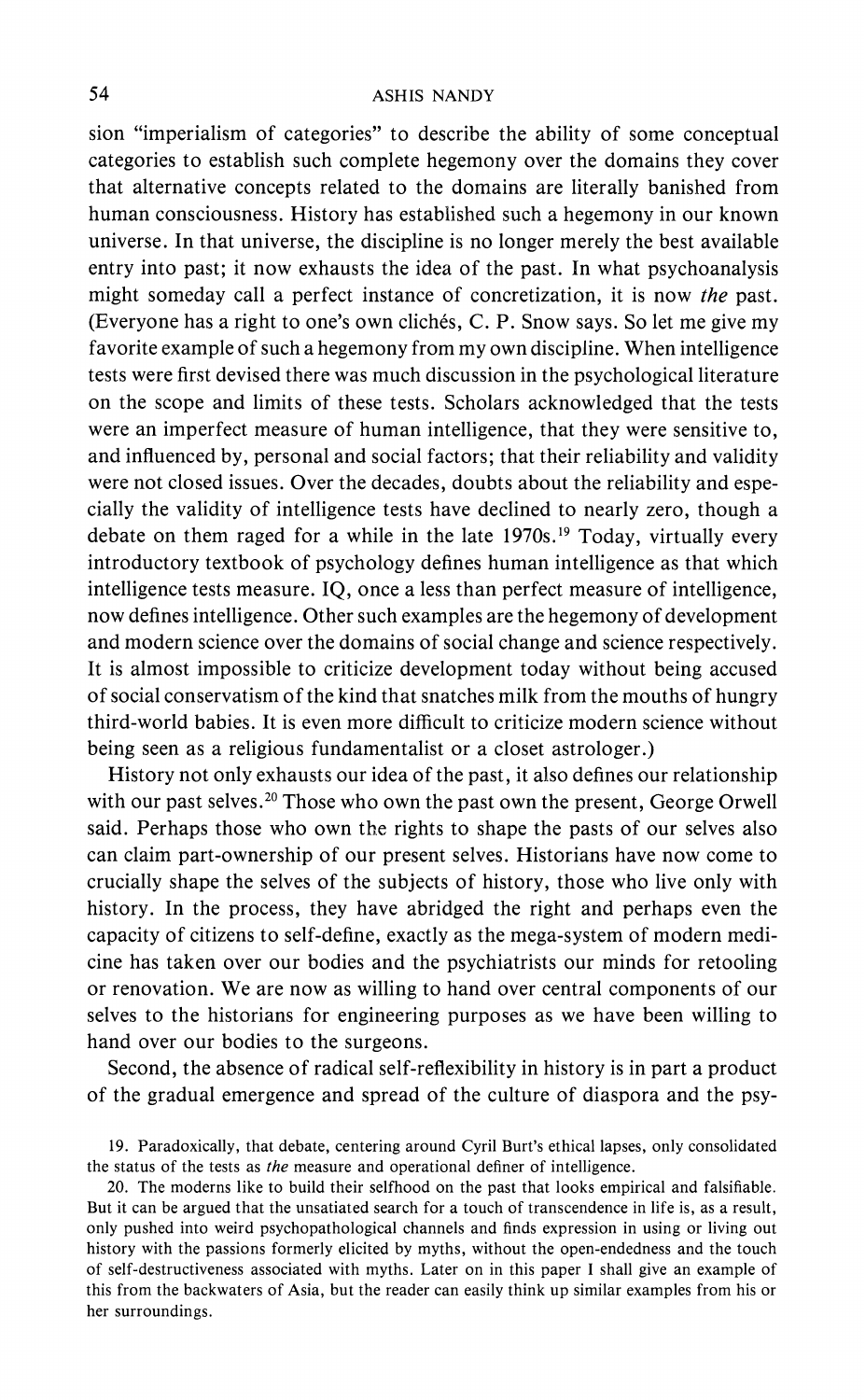**sion "imperialism of categories" to describe the ability of some conceptual categories to establish such complete hegemony over the domains they cover that alternative concepts related to the domains are literally banished from human consciousness. History has established such a hegemony in our known universe. In that universe, the discipline is no longer merely the best available entry into past; it now exhausts the idea of the past. In what psychoanalysis might someday call a perfect instance of concretization, it is now the past. (Everyone has a right to one's own cliches, C. P. Snow says. So let me give my favorite example of such a hegemony from my own discipline. When intelligence tests were first devised there was much discussion in the psychological literature on the scope and limits of these tests. Scholars acknowledged that the tests were an imperfect measure of human intelligence, that they were sensitive to, and influenced by, personal and social factors; that their reliability and validity were not closed issues. Over the decades, doubts about the reliability and especially the validity of intelligence tests have declined to nearly zero, though a debate on them raged for a while in the late 1970s. 9 Today, virtually every introductory textbook of psychology defines human intelligence as that which intelligence tests measure. IQ, once a less than perfect measure of intelligence, now defines intelligence. Other such examples are the hegemony of development and modern science over the domains of social change and science respectively. It is almost impossible to criticize development today without being accused of social conservatism of the kind that snatches milk from the mouths of hungry third-world babies. It is even more difficult to criticize modern science without being seen as a religious fundamentalist or a closet astrologer.)** 

**History not only exhausts our idea of the past, it also defines our relationship**  with our past selves.<sup>20</sup> Those who own the past own the present, George Orwell **said. Perhaps those who own the rights to shape the pasts of our selves also can claim part-ownership of our present selves. Historians have now come to crucially shape the selves of the subjects of history, those who live only with history. In the process, they have abridged the right and perhaps even the capacity of citizens to self-define, exactly as the mega-system of modern medicine has taken over our bodies and the psychiatrists our minds for retooling or renovation. We are now as willing to hand over central components of our selves to the historians for engineering purposes as we have been willing to hand over our bodies to the surgeons.** 

**Second, the absence of radical self-reflexibility in history is in part a product of the gradual emergence and spread of the culture of diaspora and the psy-**

**<sup>19.</sup> Paradoxically, that debate, centering around Cyril Burt's ethical lapses, only consolidated the status of the tests as the measure and operational definer of intelligence.** 

**<sup>20.</sup> The moderns like to build their selfhood on the past that looks empirical and falsifiable. But it can be argued that the unsatiated search for a touch of transcendence in life is, as a result, only pushed into weird psychopathological channels and finds expression in using or living out history with the passions formerly elicited by myths, without the open-endedness and the touch of self-destructiveness associated with myths. Later on in this paper I shall give an example of this from the backwaters of Asia, but the reader can easily think up similar examples from his or her surroundings.**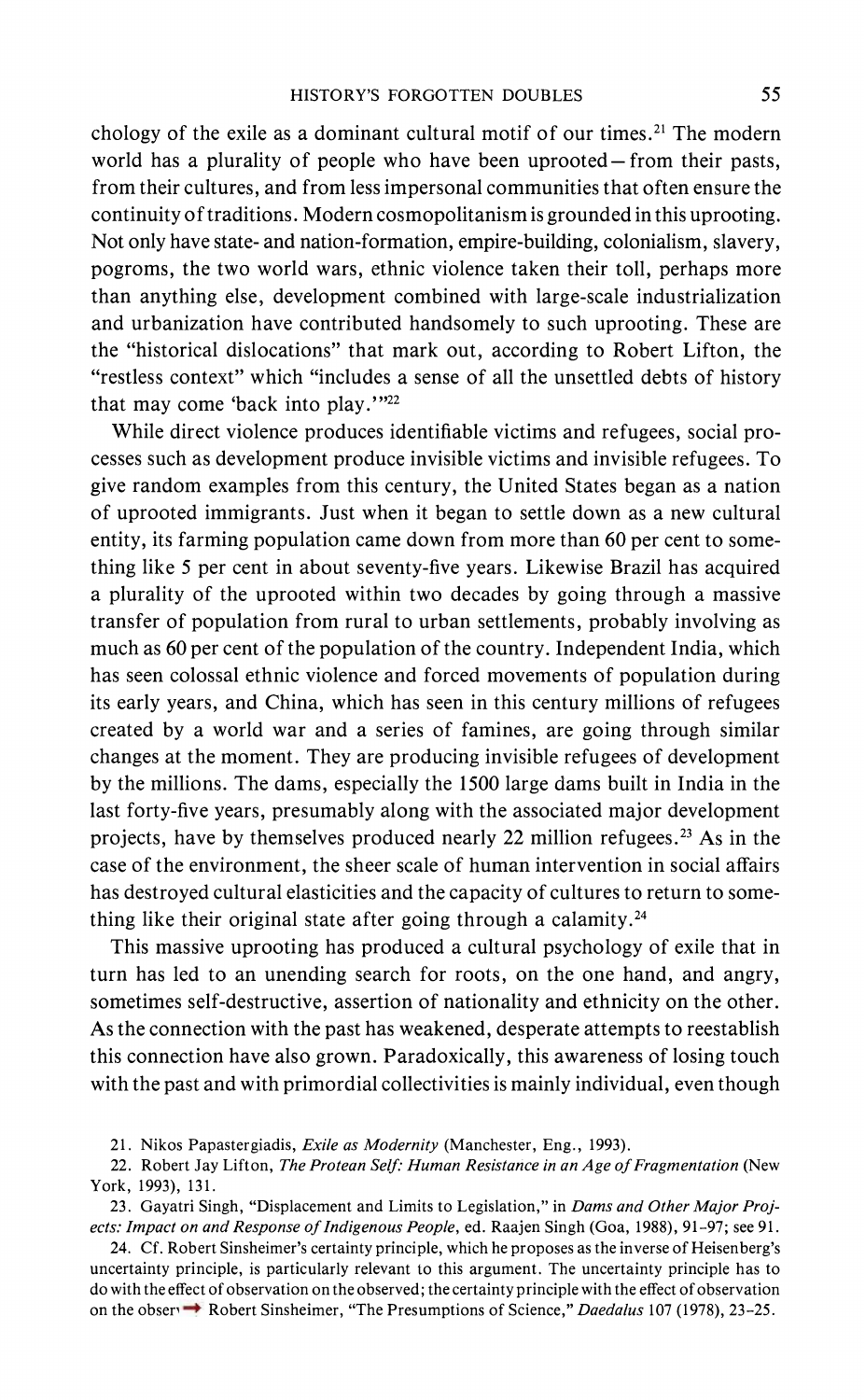chology of the exile as a dominant cultural motif of our times.<sup>21</sup> The modern world has a plurality of people who have been uprooted – from their pasts, **from their cultures, and from less impersonal communities that often ensure the continuity of traditions. Modern cosmopolitanism is grounded in this uprooting. Not only have state- and nation-formation, empire-building, colonialism, slavery, pogroms, the two world wars, ethnic violence taken their toll, perhaps more than anything else, development combined with large-scale industrialization and urbanization have contributed handsomely to such uprooting. These are the "historical dislocations" that mark out, according to Robert Lifton, the "restless context" which "includes a sense of all the unsettled debts of history that may come 'back into play."'22** 

**While direct violence produces identifiable victims and refugees, social processes such as development produce invisible victims and invisible refugees. To give random examples from this century, the United States began as a nation of uprooted immigrants. Just when it began to settle down as a new cultural entity, its farming population came down from more than 60 per cent to something like 5 per cent in about seventy-five years. Likewise Brazil has acquired a plurality of the uprooted within two decades by going through a massive transfer of population from rural to urban settlements, probably involving as much as 60 per cent of the population of the country. Independent India, which has seen colossal ethnic violence and forced movements of population during its early years, and China, which has seen in this century millions of refugees created by a world war and a series of famines, are going through similar changes at the moment. They are producing invisible refugees of development by the millions. The dams, especially the 1500 large dams built in India in the last forty-five years, presumably along with the associated major development projects, have by themselves produced nearly 22 million refugees.23 As in the case of the environment, the sheer scale of human intervention in social affairs has destroyed cultural elasticities and the capacity of cultures to return to something like their original state after going through a calamity.24** 

**This massive uprooting has produced a cultural psychology of exile that in turn has led to an unending search for roots, on the one hand, and angry, sometimes self-destructive, assertion of nationality and ethnicity on the other. As the connection with the past has weakened, desperate attempts to reestablish this connection have also grown. Paradoxically, this awareness of losing touch with the past and with primordial collectivities is mainly individual, even though** 

**<sup>21.</sup> Nikos Papastergiadis, Exile as Modernity (Manchester, Eng., 1993).** 

**<sup>22.</sup> Robert Jay Lifton, The Protean Self: Human Resistance in an Age of Fragmentation (New York, 1993), 131.** 

**<sup>23.</sup> Gayatri Singh, "Displacement and Limits to Legislation," in Dams and Other Major Projects: Impact on and Response of Indigenous People, ed. Raajen Singh (Goa, 1988), 91-97; see 91.** 

**<sup>24.</sup> Cf. Robert Sinsheimer's certainty principle, which he proposes as the inverse of Heisenberg's uncertainty principle, is particularly relevant to this argument. The uncertainty principle has to do with the effect of observation on the observed; the certainty principle with the effect of observation**  on the observ→ Robert Sinsheimer, "The Presumptions of Science," *Daedalus* 107 (1978), 23-25.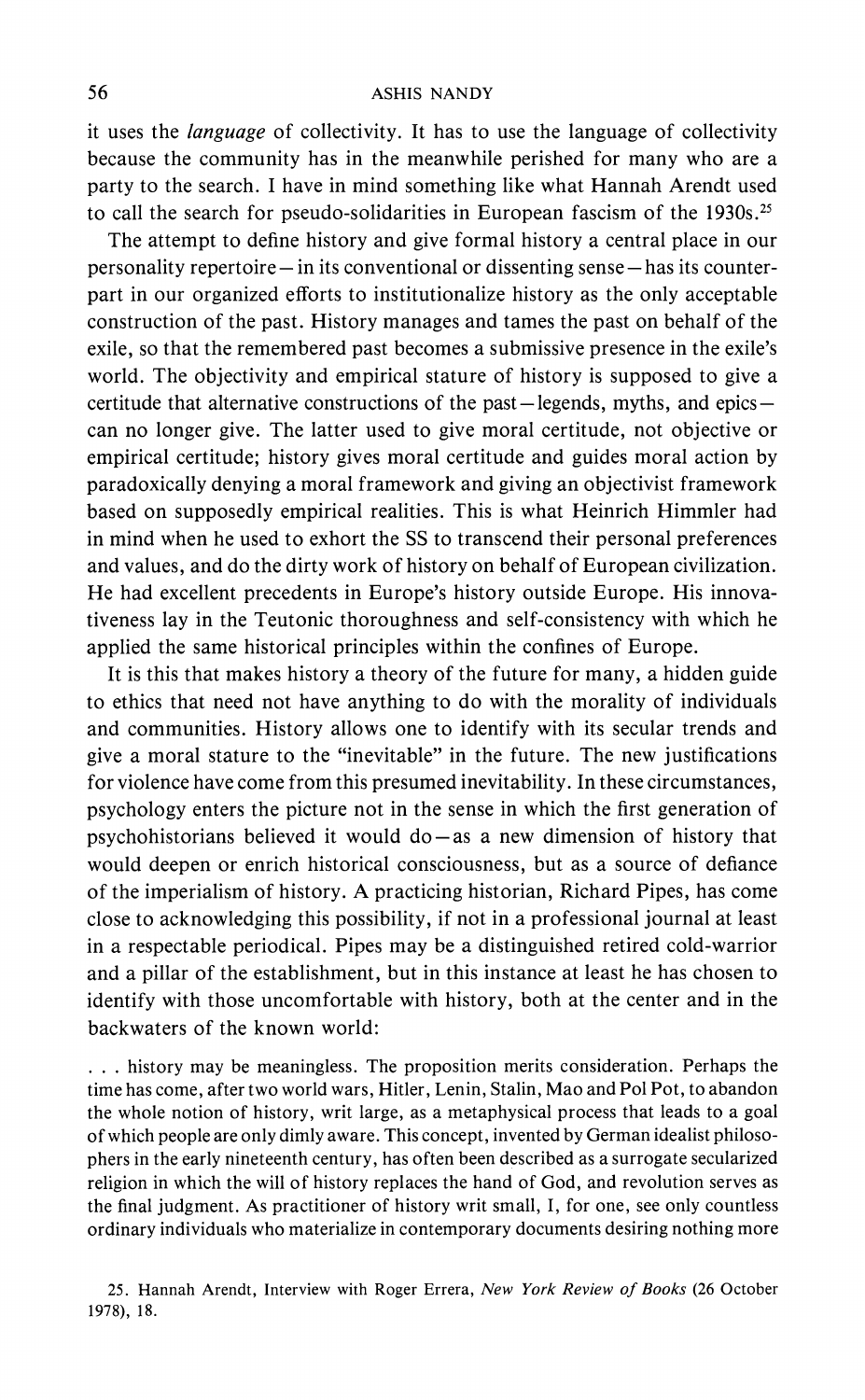**it uses the language of collectivity. It has to use the language of collectivity because the community has in the meanwhile perished for many who are a party to the search. I have in mind something like what Hannah Arendt used to call the search for pseudo-solidarities in European fascism of the 1930s.25** 

**The attempt to define history and give formal history a central place in our personality repertoire - in its conventional or dissenting sense - has its counterpart in our organized efforts to institutionalize history as the only acceptable construction of the past. History manages and tames the past on behalf of the exile, so that the remembered past becomes a submissive presence in the exile's world. The objectivity and empirical stature of history is supposed to give a certitude that alternative constructions of the past - legends, myths, and epics can no longer give. The latter used to give moral certitude, not objective or empirical certitude; history gives moral certitude and guides moral action by paradoxically denying a moral framework and giving an objectivist framework based on supposedly empirical realities. This is what Heinrich Himmler had in mind when he used to exhort the SS to transcend their personal preferences and values, and do the dirty work of history on behalf of European civilization. He had excellent precedents in Europe's history outside Europe. His innovativeness lay in the Teutonic thoroughness and self-consistency with which he applied the same historical principles within the confines of Europe.** 

**It is this that makes history a theory of the future for many, a hidden guide to ethics that need not have anything to do with the morality of individuals and communities. History allows one to identify with its secular trends and give a moral stature to the "inevitable" in the future. The new justifications for violence have come from this presumed inevitability. In these circumstances, psychology enters the picture not in the sense in which the first generation of psychohistorians believed it would do -as a new dimension of history that would deepen or enrich historical consciousness, but as a source of defiance of the imperialism of history. A practicing historian, Richard Pipes, has come close to acknowledging this possibility, if not in a professional journal at least in a respectable periodical. Pipes may be a distinguished retired cold-warrior and a pillar of the establishment, but in this instance at least he has chosen to identify with those uncomfortable with history, both at the center and in the backwaters of the known world:** 

**. . .history may be meaningless. The proposition merits consideration. Perhaps the time has come, after two world wars, Hitler, Lenin, Stalin, Mao and Pol Pot, to abandon the whole notion of history, writ large, as a metaphysical process that leads to a goal of which people are only dimly aware. This concept, invented by German idealist philosophers in the early nineteenth century, has often been described as a surrogate secularized religion in which the will of history replaces the hand of God, and revolution serves as the final judgment. As practitioner of history writ small, I, for one, see only countless ordinary individuals who materialize in contemporary documents desiring nothing more** 

**<sup>25.</sup> Hannah Arendt, Interview with Roger Errera, New York Review of Books (26 October 1978), 18.**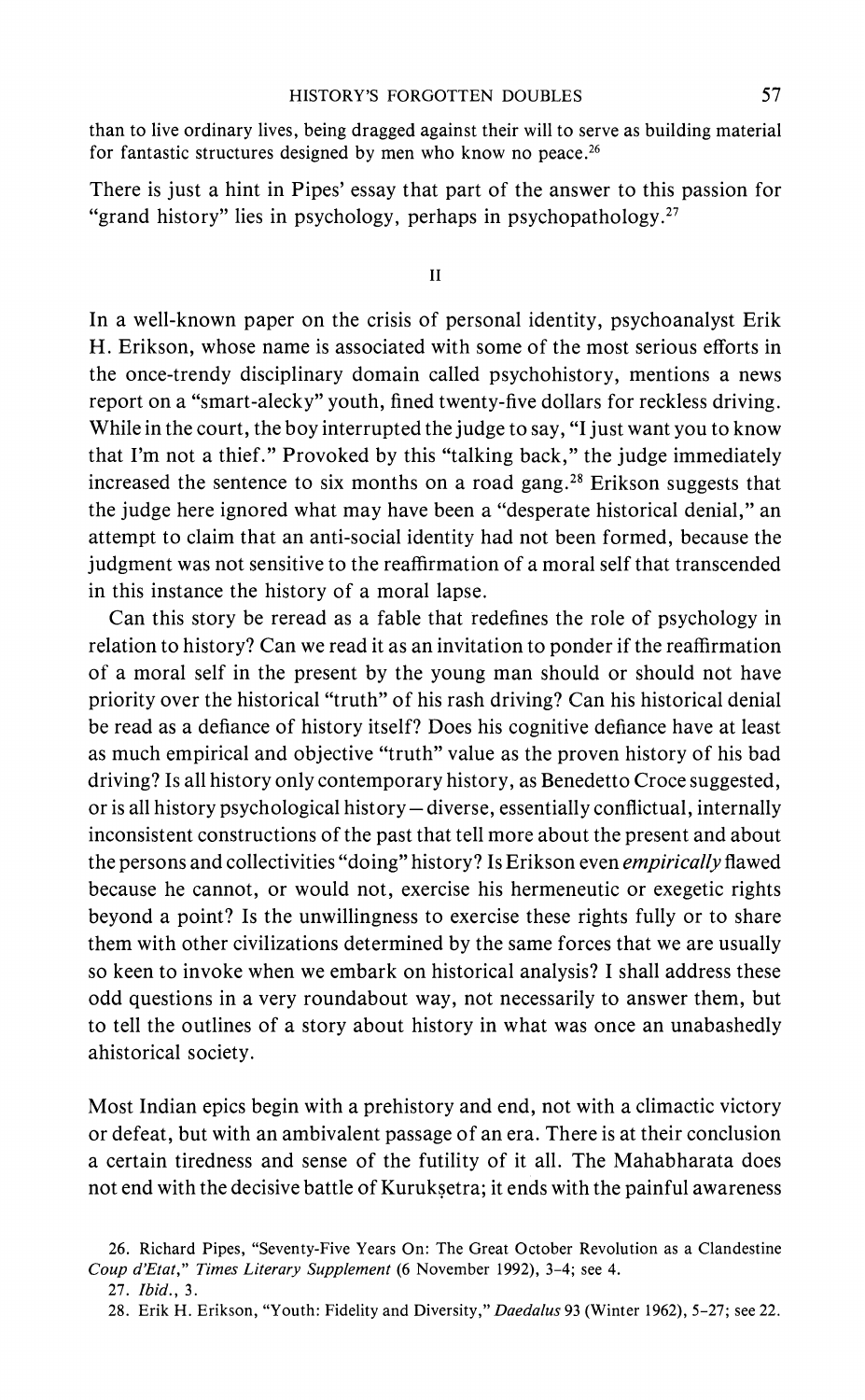**than to live ordinary lives, being dragged against their will to serve as building material for fantastic structures designed by men who know no peace.26** 

**There is just a hint in Pipes' essay that part of the answer to this passion for "grand history" lies in psychology, perhaps in psychopathology.27** 

**II** 

**In a well-known paper on the crisis of personal identity, psychoanalyst Erik H. Erikson, whose name is associated with some of the most serious efforts in the once-trendy disciplinary domain called psychohistory, mentions a news report on a "smart-alecky" youth, fined twenty-five dollars for reckless driving. While in the court, the boy interrupted the judge to say, "I just want you to know that I'm not a thief." Provoked by this "talking back," the judge immediately increased the sentence to six months on a road gang.28 Erikson suggests that the judge here ignored what may have been a "desperate historical denial," an attempt to claim that an anti-social identity had not been formed, because the judgment was not sensitive to the reaffirmation of a moral self that transcended in this instance the history of a moral lapse.** 

**Can this story be reread as a fable that redefines the role of psychology in relation to history? Can we read it as an invitation to ponder if the reaffirmation of a moral self in the present by the young man should or should not have priority over the historical "truth" of his rash driving? Can his historical denial be read as a defiance of history itself? Does his cognitive defiance have at least as much empirical and objective "truth" value as the proven history of his bad driving? Is all history only contemporary history, as Benedetto Croce suggested, or is all history psychological history- diverse, essentially conflictual, internally inconsistent constructions of the past that tell more about the present and about the persons and collectivities "doing" history? Is Erikson even empirically flawed because he cannot, or would not, exercise his hermeneutic or exegetic rights beyond a point? Is the unwillingness to exercise these rights fully or to share them with other civilizations determined by the same forces that we are usually so keen to invoke when we embark on historical analysis? I shall address these odd questions in a very roundabout way, not necessarily to answer them, but to tell the outlines of a story about history in what was once an unabashedly ahistorical society.** 

**Most Indian epics begin with a prehistory and end, not with a climactic victory or defeat, but with an ambivalent passage of an era. There is at their conclusion a certain tiredness and sense of the futility of it all. The Mahabharata does not end with the decisive battle of Kuruksetra; it ends with the painful awareness** 

**26. Richard Pipes, "Seventy-Five Years On: The Great October Revolution as a Clandestine Coup d'Etat," Times Literary Supplement (6 November 1992), 3-4; see 4.** 

**27. Ibid., 3.** 

**28. Erik H. Erikson, "Youth: Fidelity and Diversity," Daedalus 93 (Winter 1962), 5-27; see 22.**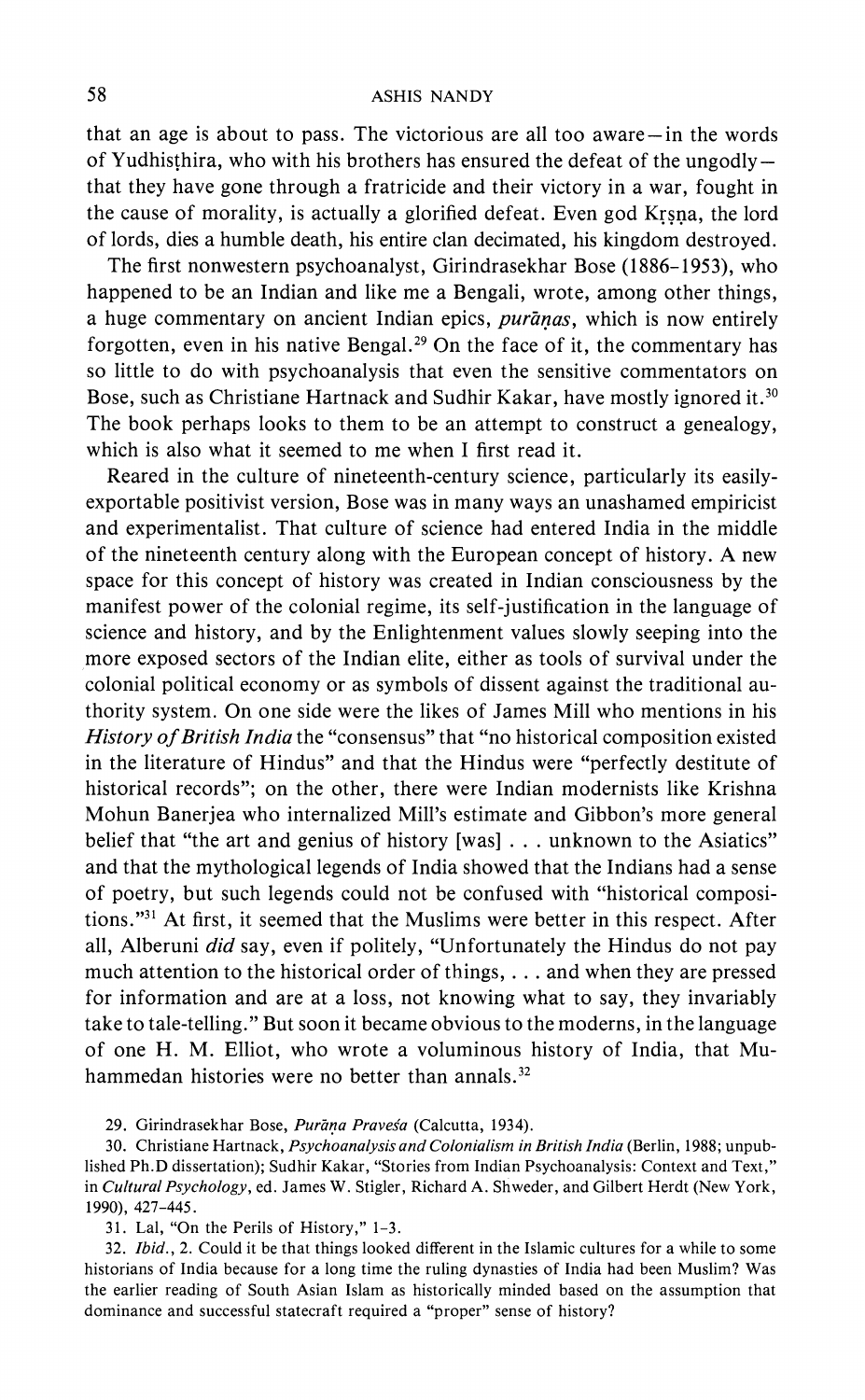**that an age is about to pass. The victorious are all too aware-in the words of Yudhisthira, who with his brothers has ensured the defeat of the ungodly that they have gone through a fratricide and their victory in a war, fought in the cause of morality, is actually a glorified defeat. Even god Krsna, the lord of lords, dies a humble death, his entire clan decimated, his kingdom destroyed.** 

**The first nonwestern psychoanalyst, Girindrasekhar Bose (1886-1953), who happened to be an Indian and like me a Bengali, wrote, among other things, a huge commentary on ancient Indian epics, puranas, which is now entirely forgotten, even in his native Bengal.29 On the face of it, the commentary has so little to do with psychoanalysis that even the sensitive commentators on Bose, such as Christiane Hartnack and Sudhir Kakar, have mostly ignored it.30 The book perhaps looks to them to be an attempt to construct a genealogy, which is also what it seemed to me when I first read it.** 

**Reared in the culture of nineteenth-century science, particularly its easilyexportable positivist version, Bose was in many ways an unashamed empiricist and experimentalist. That culture of science had entered India in the middle of the nineteenth century along with the European concept of history. A new space for this concept of history was created in Indian consciousness by the manifest power of the colonial regime, its self-justification in the language of science and history, and by the Enlightenment values slowly seeping into the more exposed sectors of the Indian elite, either as tools of survival under the colonial political economy or as symbols of dissent against the traditional authority system. On one side were the likes of James Mill who mentions in his History of British India the "consensus" that "no historical composition existed in the literature of Hindus" and that the Hindus were "perfectly destitute of historical records"; on the other, there were Indian modernists like Krishna Mohun Banerjea who internalized Mill's estimate and Gibbon's more general belief that "the art and genius of history [was] . . . unknown to the Asiatics" and that the mythological legends of India showed that the Indians had a sense of poetry, but such legends could not be confused with "historical composi**tions."<sup>31</sup> At first, it seemed that the Muslims were better in this respect. After **all, Alberuni did say, even if politely, "Unfortunately the Hindus do not pay much attention to the historical order of things, . . . and when they are pressed for information and are at a loss, not knowing what to say, they invariably take to tale-telling." But soon it became obvious to the moderns, in the language of one H. M. Elliot, who wrote a voluminous history of India, that Muhammedan histories were no better than annals.32** 

**29. Girindrasekhar Bose, Purana Pravesa (Calcutta, 1934).** 

**30. Christiane Hartnack, Psychoanalysis and Colonialism in British India (Berlin, 1988; unpublished Ph.D dissertation); Sudhir Kakar, "Stories from Indian Psychoanalysis: Context and Text," in Cultural Psychology, ed. James W. Stigler, Richard A. Shweder, and Gilbert Herdt (New York, 1990), 427-445.** 

**31. Lal, "On the Perils of History," 1-3.** 

**32. Ibid., 2. Could it be that things looked different in the Islamic cultures for a while to some historians of India because for a long time the ruling dynasties of India had been Muslim? Was the earlier reading of South Asian Islam as historically minded based on the assumption that dominance and successful statecraft required a "proper" sense of history?**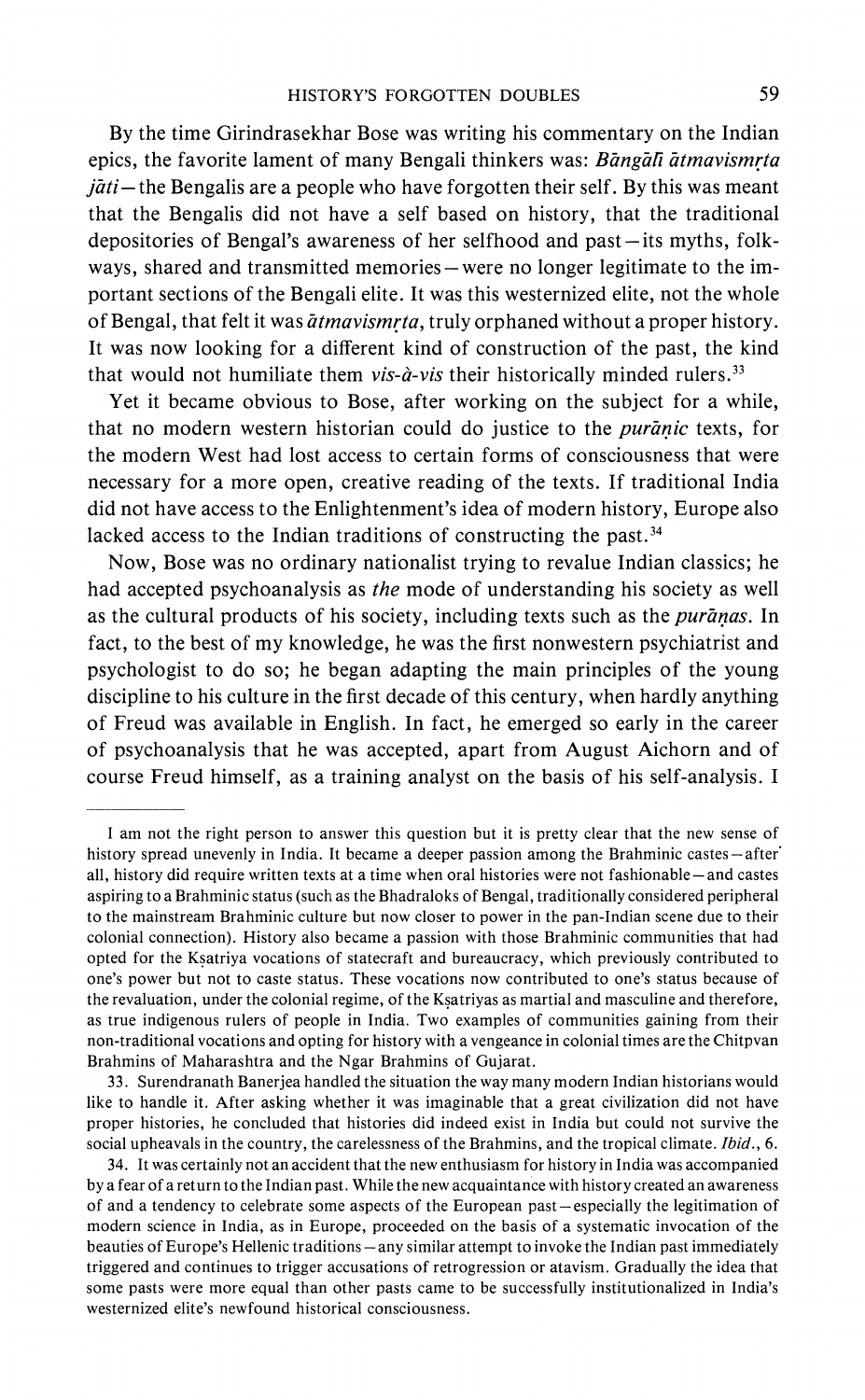**By the time Girindrasekhar Bose was writing his commentary on the Indian**  epics, the favorite lament of many Bengali thinkers was: Bangali atmavismrta *jati***-the Bengalis are a people who have forgotten their self. By this was meant that the Bengalis did not have a self based on history, that the traditional**  depositories of Bengal's awareness of her selfhood and past-its myths, folk**ways, shared and transmitted memories -were no longer legitimate to the important sections of the Bengali elite. It was this westernized elite, not the whole of Bengal, that felt it was atmavismrta, truly orphaned without a proper history. It was now looking for a different kind of construction of the past, the kind**  that would not humiliate them *vis-à-vis* their historically minded rulers.<sup>33</sup>

**Yet it became obvious to Bose, after working on the subject for a while, that no modern western historian could do justice to the puranic texts, for the modern West had lost access to certain forms of consciousness that were necessary for a more open, creative reading of the texts. If traditional India did not have access to the Enlightenment's idea of modern history, Europe also lacked access to the Indian traditions of constructing the past.34** 

**Now, Bose was no ordinary nationalist trying to revalue Indian classics; he had accepted psychoanalysis as the mode of understanding his society as well as the cultural products of his society, including texts such as the puranas. In fact, to the best of my knowledge, he was the first nonwestern psychiatrist and psychologist to do so; he began adapting the main principles of the young discipline to his culture in the first decade of this century, when hardly anything of Freud was available in English. In fact, he emerged so early in the career of psychoanalysis that he was accepted, apart from August Aichorn and of course Freud himself, as a training analyst on the basis of his self-analysis. I** 

**I am not the right person to answer this question but it is pretty clear that the new sense of history spread unevenly in India. It became a deeper passion among the Brahminic castes-after all, history did require written texts at a time when oral histories were not fashionable -and castes aspiring to a Brahminic status (such as the Bhadraloks of Bengal, traditionally considered peripheral to the mainstream Brahminic culture but now closer to power in the pan-Indian scene due to their colonial connection). History also became a passion with those Brahminic communities that had opted for the Ksatriya vocations of statecraft and bureaucracy, which previously contributed to one's power but not to caste status. These vocations now contributed to one's status because of the revaluation, under the colonial regime, of the Ksatriyas as martial and masculine and therefore, as true indigenous rulers of people in India. Two examples of communities gaining from their non-traditional vocations and opting for history with a vengeance in colonial times are the Chitpvan Brahmins of Maharashtra and the Ngar Brahmins of Gujarat.** 

**<sup>33.</sup> Surendranath Banerjea handled the situation the way many modern Indian historians would like to handle it. After asking whether it was imaginable that a great civilization did not have proper histories, he concluded that histories did indeed exist in India but could not survive the social upheavals in the country, the carelessness of the Brahmins, and the tropical climate. Ibid., 6.** 

**<sup>34.</sup> It was certainly not an accident that the new enthusiasm for history in India was accompanied by a fear of a return to the Indian past. While the new acquaintance with history created an awareness of and a tendency to celebrate some aspects of the European past-especially the legitimation of modern science in India, as in Europe, proceeded on the basis of a systematic invocation of the beauties of Europe's Hellenic traditions - any similar attempt to invoke the Indian past immediately triggered and continues to trigger accusations of retrogression or atavism. Gradually the idea that some pasts were more equal than other pasts came to be successfully institutionalized in India's westernized elite's newfound historical consciousness.**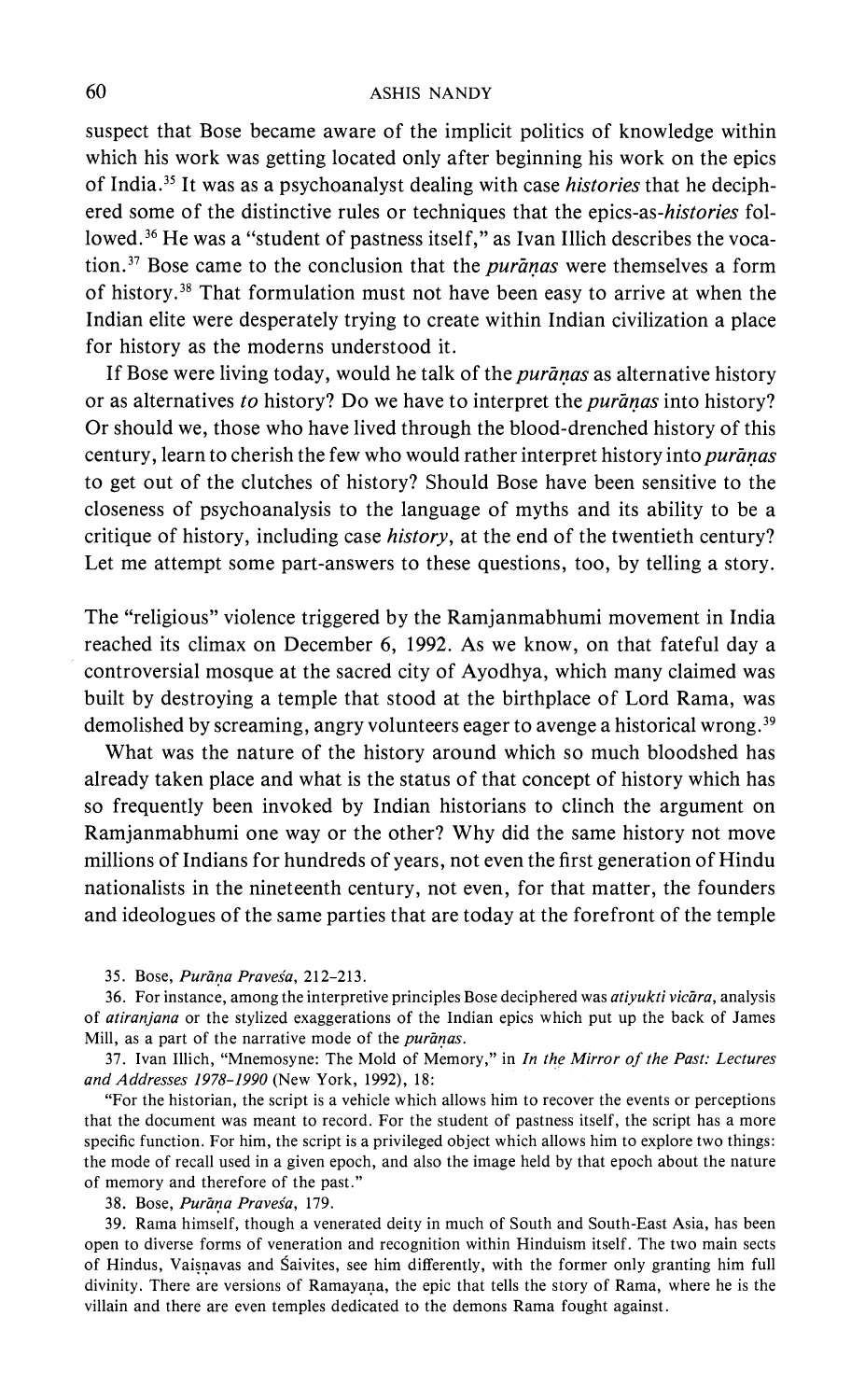**suspect that Bose became aware of the implicit politics of knowledge within which his work was getting located only after beginning his work on the epics of India.35 It was as a psychoanalyst dealing with case histories that he deciphered some of the distinctive rules or techniques that the epics-as-histories followed.36 He was a "student of pastness itself," as Ivan Illich describes the vocation.37 Bose came to the conclusion that the puranas were themselves a form of history.38 That formulation must not have been easy to arrive at when the Indian elite were desperately trying to create within Indian civilization a place for history as the moderns understood it.** 

If Bose were living today, would he talk of the *puranas* as alternative history **or as alternatives to history? Do we have to interpret the puranas into history? Or should we, those who have lived through the blood-drenched history of this century, learn to cherish the few who would rather interpret history into puranas to get out of the clutches of history? Should Bose have been sensitive to the closeness of psychoanalysis to the language of myths and its ability to be a critique of history, including case history, at the end of the twentieth century? Let me attempt some part-answers to these questions, too, by telling a story.** 

**The "religious" violence triggered by the Ramjanmabhumi movement in India reached its climax on December 6, 1992. As we know, on that fateful day a controversial mosque at the sacred city of Ayodhya, which many claimed was built by destroying a temple that stood at the birthplace of Lord Rama, was demolished by screaming, angry volunteers eager to avenge a historical wrong.39** 

**What was the nature of the history around which so much bloodshed has already taken place and what is the status of that concept of history which has so frequently been invoked by Indian historians to clinch the argument on Ramjanmabhumi one way or the other? Why did the same history not move millions of Indians for hundreds of years, not even the first generation of Hindu nationalists in the nineteenth century, not even, for that matter, the founders and ideologues of the same parties that are today at the forefront of the temple** 

**36. For instance, among the interpretive principles Bose deciphered was** *atiyukti vicara***, analysis of atiranjana or the stylized exaggerations of the Indian epics which put up the back of James**  Mill, as a part of the narrative mode of the *puranas*.

**37. Ivan Illich, "Mnemosyne: The Mold of Memory," in In the Mirror of the Past: Lectures and Addresses 1978-1990 (New York, 1992), 18:** 

**"For the historian, the script is a vehicle which allows him to recover the events or perceptions that the document was meant to record. For the student of pastness itself, the script has a more specific function. For him, the script is a privileged object which allows him to explore two things: the mode of recall used in a given epoch, and also the image held by that epoch about the nature of memory and therefore of the past."** 

38. Bose, Purāņa Pravesa, 179.

**39. Rama himself, though a venerated deity in much of South and South-East Asia, has been open to diverse forms of veneration and recognition within Hinduism itself. The two main sects of Hindus, Vaisnavas and gaivites, see him differently, with the former only granting him full divinity. There are versions of Ramayana, the epic that tells the story of Rama, where he is the villain and there are even temples dedicated to the demons Rama fought against.** 

<sup>35.</sup> Bose, Purāna Pravesa, 212-213.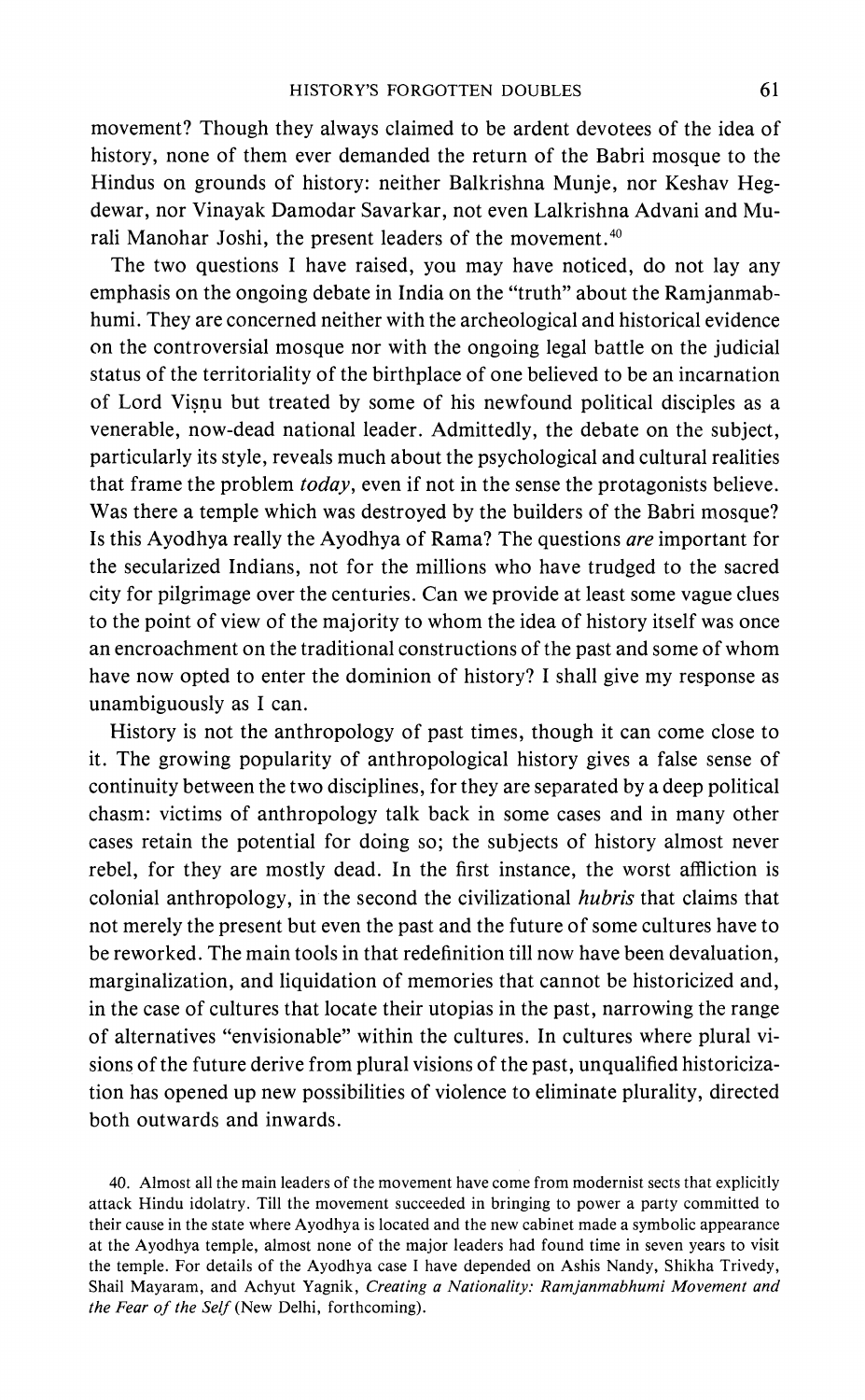**movement? Though they always claimed to be ardent devotees of the idea of history, none of them ever demanded the return of the Babri mosque to the Hindus on grounds of history: neither Balkrishna Munje, nor Keshav Hegdewar, nor Vinayak Damodar Savarkar, not even Lalkrishna Advani and Murali Manohar Joshi, the present leaders of the movement.40** 

**The two questions I have raised, you may have noticed, do not lay any emphasis on the ongoing debate in India on the "truth" about the Ramjanmabhumi. They are concerned neither with the archeological and historical evidence on the controversial mosque nor with the ongoing legal battle on the judicial status of the territoriality of the birthplace of one believed to be an incarnation of Lord Visnu but treated by some of his newfound political disciples as a venerable, now-dead national leader. Admittedly, the debate on the subject, particularly its style, reveals much about the psychological and cultural realities that frame the problem today, even if not in the sense the protagonists believe. Was there a temple which was destroyed by the builders of the Babri mosque? Is this Ayodhya really the Ayodhya of Rama? The questions are important for the secularized Indians, not for the millions who have trudged to the sacred city for pilgrimage over the centuries. Can we provide at least some vague clues to the point of view of the majority to whom the idea of history itself was once an encroachment on the traditional constructions of the past and some of whom have now opted to enter the dominion of history? I shall give my response as unambiguously as I can.** 

**History is not the anthropology of past times, though it can come close to it. The growing popularity of anthropological history gives a false sense of continuity between the two disciplines, for they are separated by a deep political chasm: victims of anthropology talk back in some cases and in many other cases retain the potential for doing so; the subjects of history almost never rebel, for they are mostly dead. In the first instance, the worst affliction is colonial anthropology, in the second the civilizational hubris that claims that not merely the present but even the past and the future of some cultures have to be reworked. The main tools in that redefinition till now have been devaluation, marginalization, and liquidation of memories that cannot be historicized and, in the case of cultures that locate their utopias in the past, narrowing the range of alternatives "envisionable" within the cultures. In cultures where plural visions of the future derive from plural visions of the past, unqualified historicization has opened up new possibilities of violence to eliminate plurality, directed both outwards and inwards.** 

**40. Almost all the main leaders of the movement have come from modernist sects that explicitly attack Hindu idolatry. Till the movement succeeded in bringing to power a party committed to their cause in the state where Ayodhya is located and the new cabinet made a symbolic appearance at the Ayodhya temple, almost none of the major leaders had found time in seven years to visit the temple. For details of the Ayodhya case I have depended on Ashis Nandy, Shikha Trivedy, Shail Mayaram, and Achyut Yagnik, Creating a Nationality: Ramjanmabhumi Movement and the Fear of the Self (New Delhi, forthcoming).**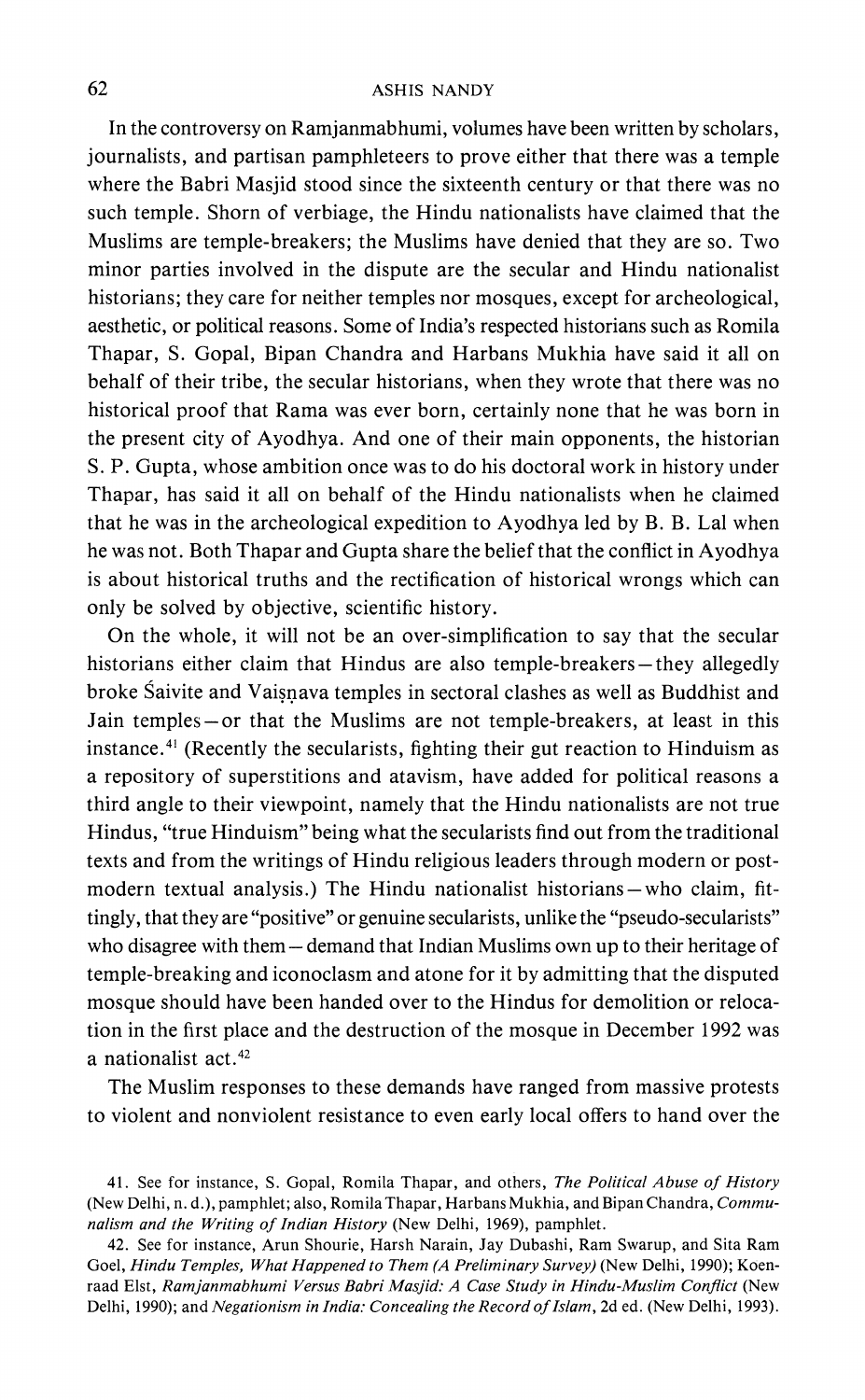**In the controversy on Ramjanmabhumi, volumes have been written by scholars, journalists, and partisan pamphleteers to prove either that there was a temple where the Babri Masjid stood since the sixteenth century or that there was no such temple. Shorn of verbiage, the Hindu nationalists have claimed that the Muslims are temple-breakers; the Muslims have denied that they are so. Two minor parties involved in the dispute are the secular and Hindu nationalist historians; they care for neither temples nor mosques, except for archeological, aesthetic, or political reasons. Some of India's respected historians such as Romila Thapar, S. Gopal, Bipan Chandra and Harbans Mukhia have said it all on behalf of their tribe, the secular historians, when they wrote that there was no historical proof that Rama was ever born, certainly none that he was born in the present city of Ayodhya. And one of their main opponents, the historian S. P. Gupta, whose ambition once was to do his doctoral work in history under Thapar, has said it all on behalf of the Hindu nationalists when he claimed that he was in the archeological expedition to Ayodhya led by B. B. Lal when he was not. Both Thapar and Gupta share the belief that the conflict in Ayodhya is about historical truths and the rectification of historical wrongs which can only be solved by objective, scientific history.** 

**On the whole, it will not be an over-simplification to say that the secular**  historians either claim that Hindus are also temple-breakers-they allegedly **broke Saivite and Vaisnava temples in sectoral clashes as well as Buddhist and Jain temples -or that the Muslims are not temple-breakers, at least in this instance.4' (Recently the secularists, fighting their gut reaction to Hinduism as a repository of superstitions and atavism, have added for political reasons a third angle to their viewpoint, namely that the Hindu nationalists are not true Hindus, "true Hinduism" being what the secularists find out from the traditional texts and from the writings of Hindu religious leaders through modern or post**modern textual analysis.) The Hindu nationalist historians — who claim, fit**tingly, that they are "positive" or genuine secularists, unlike the "pseudo-secularists" who disagree with them - demand that Indian Muslims own up to their heritage of temple-breaking and iconoclasm and atone for it by admitting that the disputed mosque should have been handed over to the Hindus for demolition or relocation in the first place and the destruction of the mosque in December 1992 was a nationalist act.42** 

**The Muslim responses to these demands have ranged from massive protests to violent and nonviolent resistance to even early local offers to hand over the** 

**<sup>41.</sup> See for instance, S. Gopal, Romila Thapar, and others, The Political Abuse of History (New Delhi, n. d.), pamphlet; also, Romila Thapar, Harbans Mukhia, and Bipan Chandra, Communalism and the Writing of Indian History (New Delhi, 1969), pamphlet.** 

**<sup>42.</sup> See for instance, Arun Shourie, Harsh Narain, Jay Dubashi, Ram Swarup, and Sita Ram Goel, Hindu Temples, What Happened to Them (A Preliminary Survey) (New Delhi, 1990); Koenraad Elst, Ramjanmabhumi Versus Babri Masjid: A Case Study in Hindu-Muslim Conflict (New Delhi, 1990); and Negationism in India: Concealing the Record of Islam, 2d ed. (New Delhi, 1993).**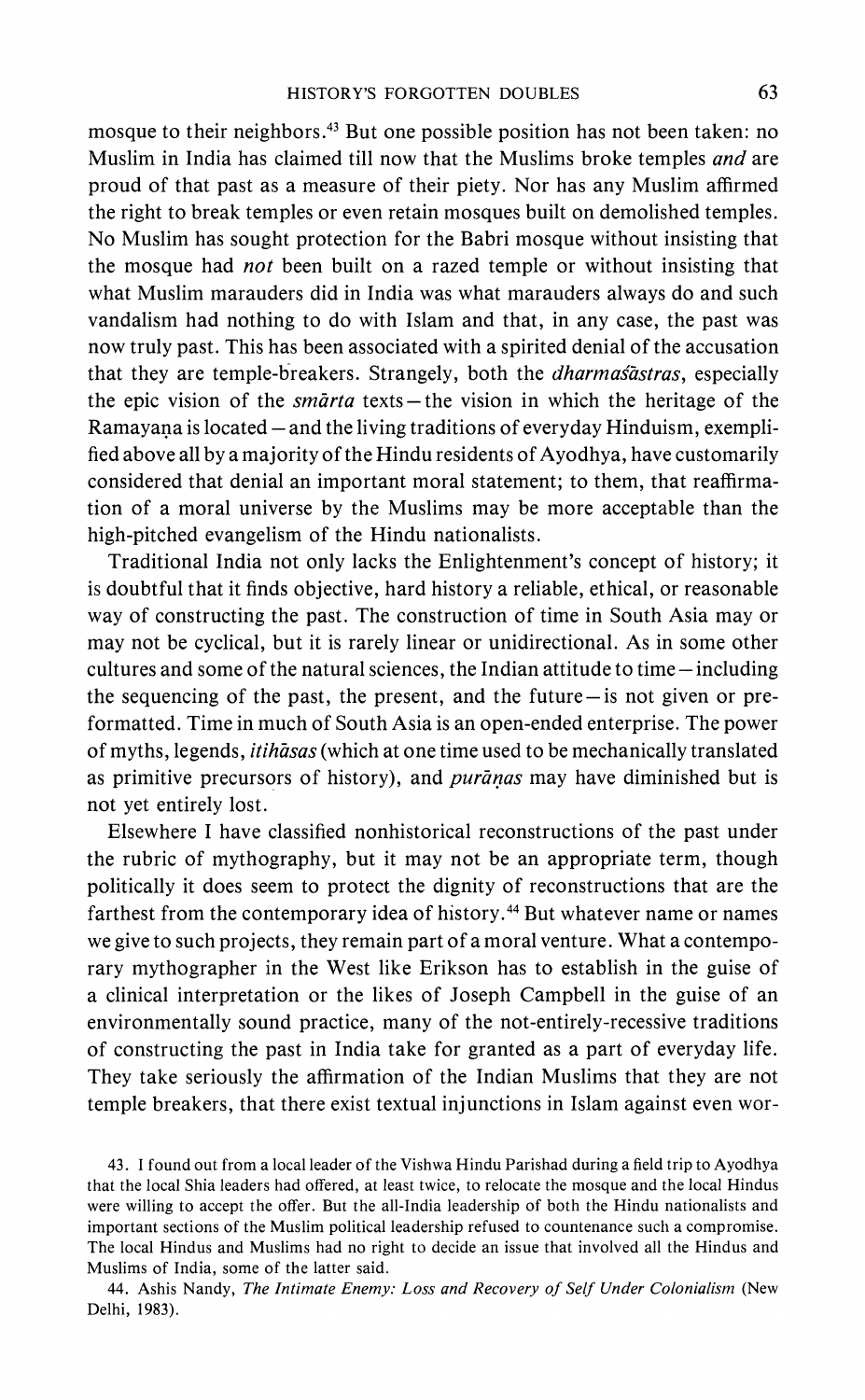**mosque to their neighbors.43 But one possible position has not been taken: no Muslim in India has claimed till now that the Muslims broke temples and are proud of that past as a measure of their piety. Nor has any Muslim affirmed the right to break temples or even retain mosques built on demolished temples. No Muslim has sought protection for the Babri mosque without insisting that the mosque had not been built on a razed temple or without insisting that what Muslim marauders did in India was what marauders always do and such vandalism had nothing to do with Islam and that, in any case, the past was now truly past. This has been associated with a spirited denial of the accusation that they are temple-breakers. Strangely, both the dharmas'astras, especially**  the epic vision of the *smarta* texts-the vision in which the heritage of the **Ramayana is located - and the living traditions of everyday Hinduism, exemplified above all by a majority of the Hindu residents of Ayodhya, have customarily considered that denial an important moral statement; to them, that reaffirmation of a moral universe by the Muslims may be more acceptable than the high-pitched evangelism of the Hindu nationalists.** 

**Traditional India not only lacks the Enlightenment's concept of history; it is doubtful that it finds objective, hard history a reliable, ethical, or reasonable way of constructing the past. The construction of time in South Asia may or may not be cyclical, but it is rarely linear or unidirectional. As in some other cultures and some of the natural sciences, the Indian attitude to time - including**  the sequencing of the past, the present, and the future – is not given or pre**formatted. Time in much of South Asia is an open-ended enterprise. The power of myths, legends, itihasas (which at one time used to be mechanically translated**  as primitive precursors of history), and *puranas* may have diminished but is **not yet entirely lost.** 

**Elsewhere I have classified nonhistorical reconstructions of the past under the rubric of mythography, but it may not be an appropriate term, though politically it does seem to protect the dignity of reconstructions that are the**  farthest from the contemporary idea of history.<sup>44</sup> But whatever name or names **we give to such projects, they remain part of a moral venture. What a contemporary mythographer in the West like Erikson has to establish in the guise of a clinical interpretation or the likes of Joseph Campbell in the guise of an environmentally sound practice, many of the not-entirely-recessive traditions of constructing the past in India take for granted as a part of everyday life. They take seriously the affirmation of the Indian Muslims that they are not temple breakers, that there exist textual injunctions in Islam against even wor-**

**43. I found out from a local leader of the Vishwa Hindu Parishad during a field trip to Ayodhya that the local Shia leaders had offered, at least twice, to relocate the mosque and the local Hindus were willing to accept the offer. But the all-India leadership of both the Hindu nationalists and important sections of the Muslim political leadership refused to countenance such a compromise. The local Hindus and Muslims had no right to decide an issue that involved all the Hindus and Muslims of India, some of the latter said.** 

**44. Ashis Nandy, The Intimate Enemy: Loss and Recovery of Self Under Colonialism (New Delhi, 1983).**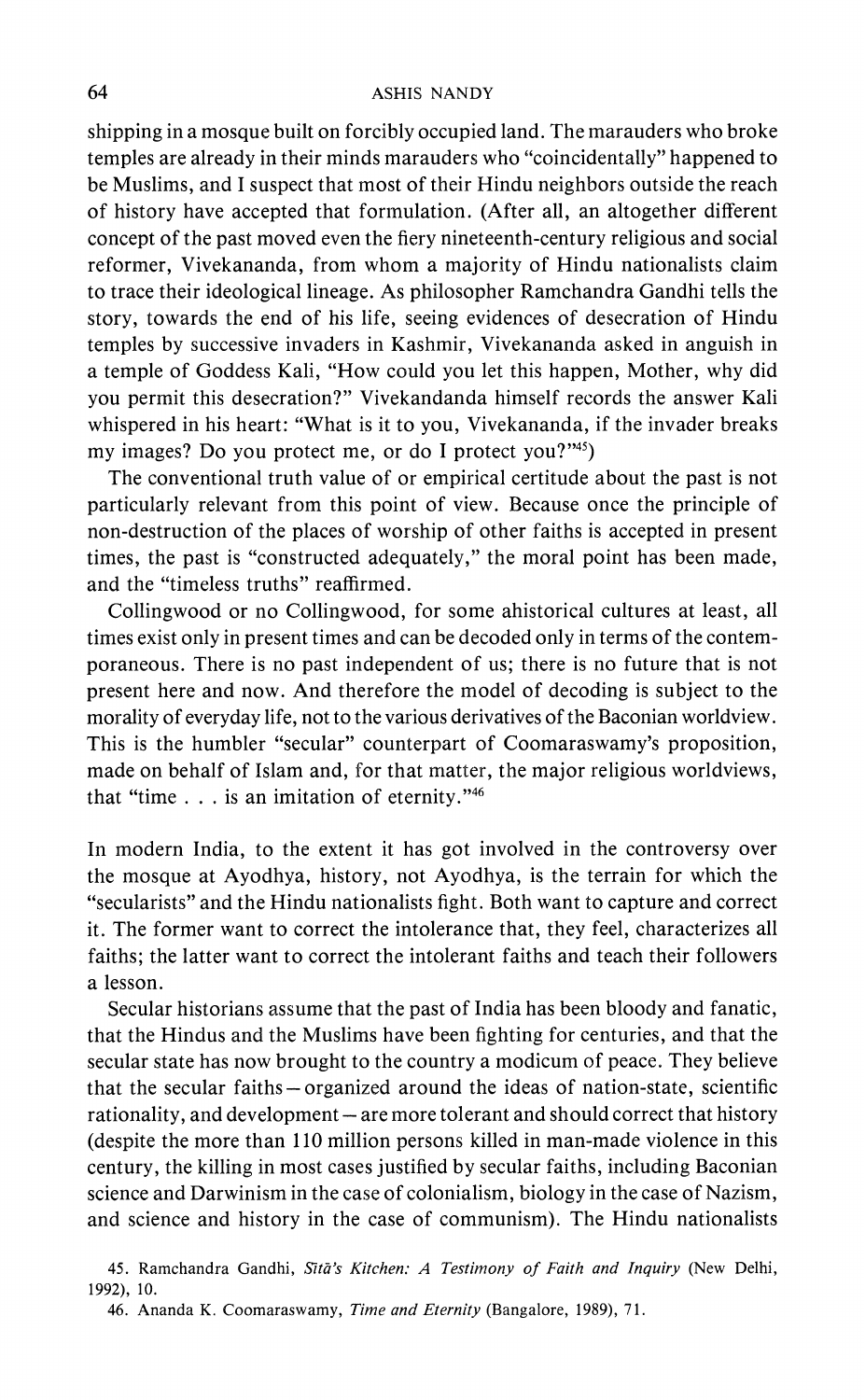**shipping in a mosque built on forcibly occupied land. The marauders who broke temples are already in their minds marauders who "coincidentally" happened to be Muslims, and I suspect that most of their Hindu neighbors outside the reach of history have accepted that formulation. (After all, an altogether different concept of the past moved even the fiery nineteenth-century religious and social reformer, Vivekananda, from whom a majority of Hindu nationalists claim to trace their ideological lineage. As philosopher Ramchandra Gandhi tells the story, towards the end of his life, seeing evidences of desecration of Hindu temples by successive invaders in Kashmir, Vivekananda asked in anguish in a temple of Goddess Kali, "How could you let this happen, Mother, why did you permit this desecration?" Vivekandanda himself records the answer Kali whispered in his heart: "What is it to you, Vivekananda, if the invader breaks my images? Do you protect me, or do I protect you?"45)** 

**The conventional truth value of or empirical certitude about the past is not particularly relevant from this point of view. Because once the principle of non-destruction of the places of worship of other faiths is accepted in present times, the past is "constructed adequately," the moral point has been made, and the "timeless truths" reaffirmed.** 

**Collingwood or no Collingwood, for some ahistorical cultures at least, all times exist only in present times and can be decoded only in terms of the contemporaneous. There is no past independent of us; there is no future that is not present here and now. And therefore the model of decoding is subject to the morality of everyday life, not to the various derivatives of the Baconian worldview. This is the humbler "secular" counterpart of Coomaraswamy's proposition, made on behalf of Islam and, for that matter, the major religious worldviews, that "time . . . is an imitation of eternity."46** 

**In modern India, to the extent it has got involved in the controversy over the mosque at Ayodhya, history, not Ayodhya, is the terrain for which the "secularists" and the Hindu nationalists fight. Both want to capture and correct it. The former want to correct the intolerance that, they feel, characterizes all faiths; the latter want to correct the intolerant faiths and teach their followers a lesson.** 

**Secular historians assume that the past of India has been bloody and fanatic, that the Hindus and the Muslims have been fighting for centuries, and that the secular state has now brought to the country a modicum of peace. They believe that the secular faiths -organized around the ideas of nation-state, scientific rationality, and development - are more tolerant and should correct that history (despite the more than 110 million persons killed in man-made violence in this century, the killing in most cases justified by secular faiths, including Baconian science and Darwinism in the case of colonialism, biology in the case of Nazism, and science and history in the case of communism). The Hindu nationalists** 

<sup>45.</sup> Ramchandra Gandhi, Sītā's Kitchen: A Testimony of Faith and Inquiry (New Delhi, **1992), 10.** 

**<sup>46.</sup> Ananda K. Coomaraswamy, Time and Eternity (Bangalore, 1989), 71.**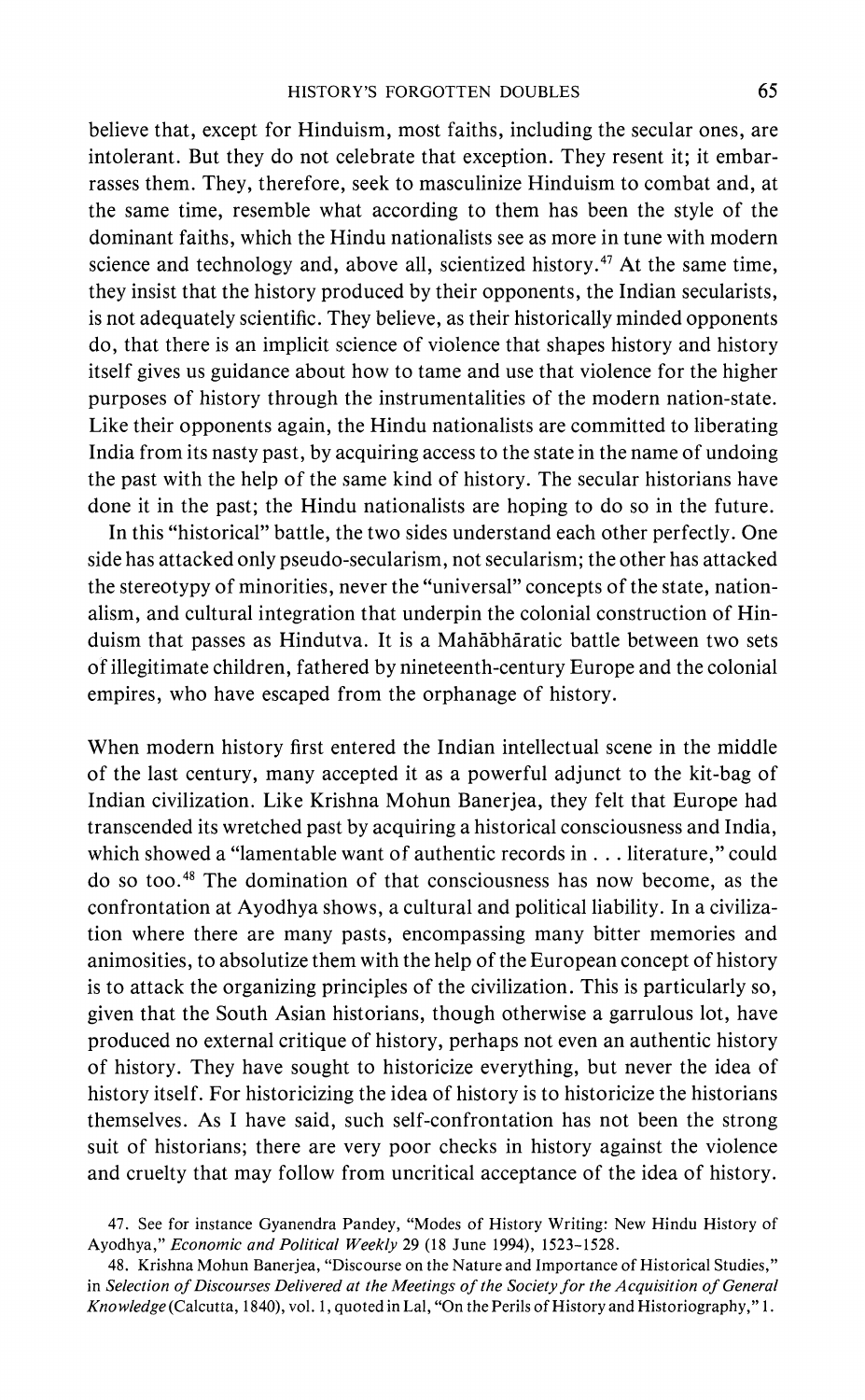**believe that, except for Hinduism, most faiths, including the secular ones, are intolerant. But they do not celebrate that exception. They resent it; it embarrasses them. They, therefore, seek to masculinize Hinduism to combat and, at the same time, resemble what according to them has been the style of the dominant faiths, which the Hindu nationalists see as more in tune with modern science and technology and, above all, scientized history.47 At the same time, they insist that the history produced by their opponents, the Indian secularists, is not adequately scientific. They believe, as their historically minded opponents do, that there is an implicit science of violence that shapes history and history itself gives us guidance about how to tame and use that violence for the higher purposes of history through the instrumentalities of the modern nation-state. Like their opponents again, the Hindu nationalists are committed to liberating India from its nasty past, by acquiring access to the state in the name of undoing the past with the help of the same kind of history. The secular historians have done it in the past; the Hindu nationalists are hoping to do so in the future.** 

**In this "historical" battle, the two sides understand each other perfectly. One side has attacked only pseudo-secularism, not secularism; the other has attacked the stereotypy of minorities, never the "universal" concepts of the state, nationalism, and cultural integration that underpin the colonial construction of Hin**duism that passes as Hindutva. It is a Mahābhāratic battle between two sets **of illegitimate children, fathered by nineteenth-century Europe and the colonial empires, who have escaped from the orphanage of history.** 

**When modern history first entered the Indian intellectual scene in the middle of the last century, many accepted it as a powerful adjunct to the kit-bag of Indian civilization. Like Krishna Mohun Banerjea, they felt that Europe had transcended its wretched past by acquiring a historical consciousness and India, which showed a "lamentable want of authentic records in . . . literature," could do so too.48 The domination of that consciousness has now become, as the confrontation at Ayodhya shows, a cultural and political liability. In a civilization where there are many pasts, encompassing many bitter memories and animosities, to absolutize them with the help of the European concept of history is to attack the organizing principles of the civilization. This is particularly so, given that the South Asian historians, though otherwise a garrulous lot, have produced no external critique of history, perhaps not even an authentic history of history. They have sought to historicize everything, but never the idea of history itself. For historicizing the idea of history is to historicize the historians themselves. As I have said, such self-confrontation has not been the strong suit of historians; there are very poor checks in history against the violence and cruelty that may follow from uncritical acceptance of the idea of history.** 

**<sup>47.</sup> See for instance Gyanendra Pandey, "Modes of History Writing: New Hindu History of Ayodhya," Economic and Political Weekly 29 (18 June 1994), 1523-1528.** 

**<sup>48.</sup> Krishna Mohun Banerjea, "Discourse on the Nature and Importance of Historical Studies," in Selection of Discourses Delivered at the Meetings of the Society for the Acquisition of General Knowledge (Calcutta, 1840), vol. 1, quoted in Lal, "On the Perils of History and Historiography," 1.**